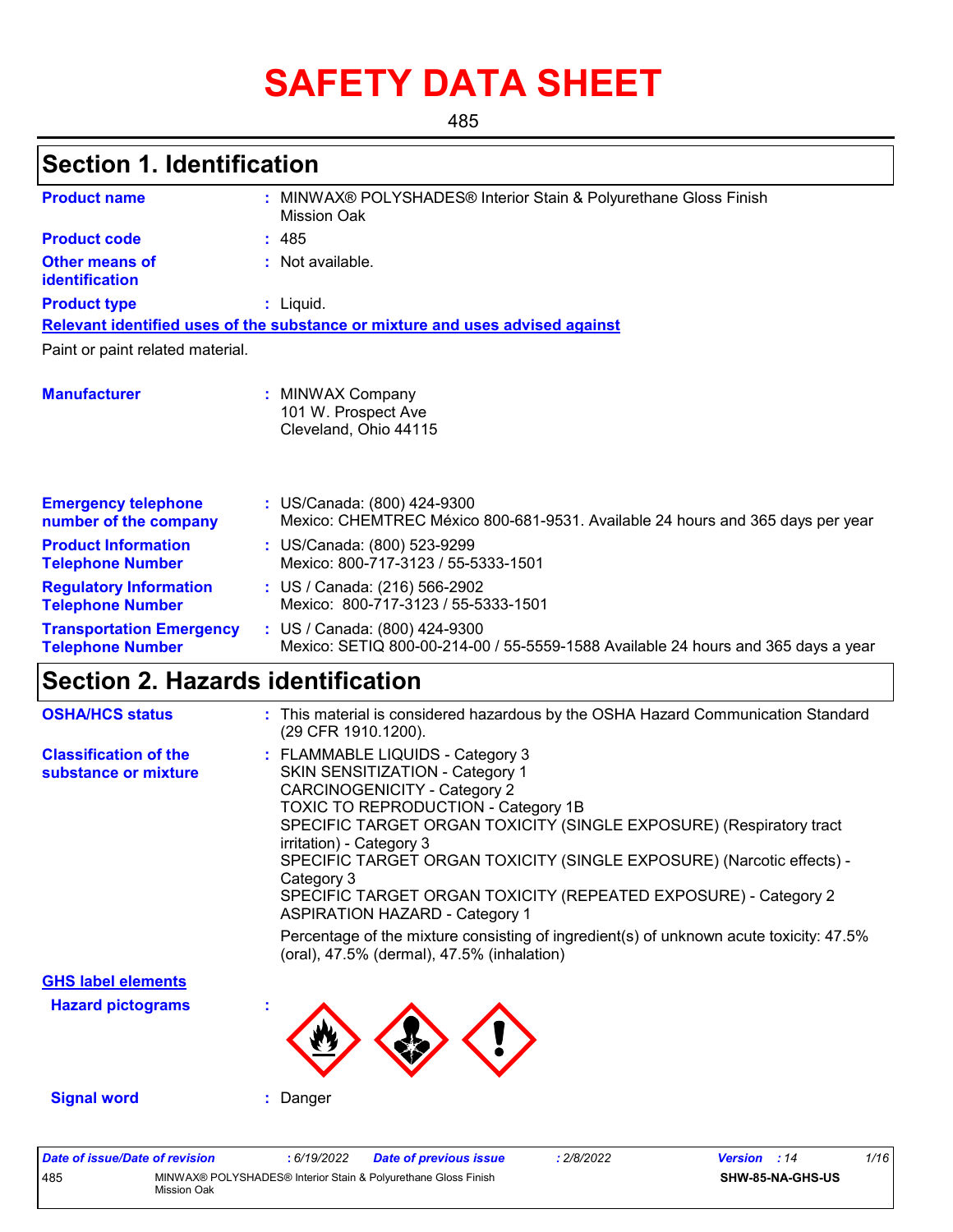# **SAFETY DATA SHEET**

485

### **Section 1. Identification**

| <b>Product name</b>                                        | : MINWAX® POLYSHADES® Interior Stain & Polyurethane Gloss Finish<br>Mission Oak                                    |
|------------------------------------------------------------|--------------------------------------------------------------------------------------------------------------------|
| <b>Product code</b>                                        | : 485                                                                                                              |
| <b>Other means of</b><br>identification                    | : Not available.                                                                                                   |
| <b>Product type</b>                                        | : Liquid.                                                                                                          |
|                                                            | Relevant identified uses of the substance or mixture and uses advised against                                      |
| Paint or paint related material.                           |                                                                                                                    |
| <b>Manufacturer</b>                                        | <b>MINWAX Company</b><br>101 W. Prospect Ave<br>Cleveland, Ohio 44115                                              |
| <b>Emergency telephone</b><br>number of the company        | : US/Canada: (800) 424-9300<br>Mexico: CHEMTREC México 800-681-9531. Available 24 hours and 365 days per year      |
| <b>Product Information</b><br><b>Telephone Number</b>      | : US/Canada: (800) 523-9299<br>Mexico: 800-717-3123 / 55-5333-1501                                                 |
| <b>Regulatory Information</b><br><b>Telephone Number</b>   | : US / Canada: (216) 566-2902<br>Mexico: 800-717-3123 / 55-5333-1501                                               |
| <b>Transportation Emergency</b><br><b>Telephone Number</b> | : US / Canada: (800) 424-9300<br>Mexico: SETIQ 800-00-214-00 / 55-5559-1588 Available 24 hours and 365 days a year |

# **Section 2. Hazards identification**

| <b>OSHA/HCS status</b>                               | : This material is considered hazardous by the OSHA Hazard Communication Standard<br>(29 CFR 1910.1200).                                                                                                                                                                                                                                                                                                                                                                                                                                                                                        |
|------------------------------------------------------|-------------------------------------------------------------------------------------------------------------------------------------------------------------------------------------------------------------------------------------------------------------------------------------------------------------------------------------------------------------------------------------------------------------------------------------------------------------------------------------------------------------------------------------------------------------------------------------------------|
| <b>Classification of the</b><br>substance or mixture | : FLAMMABLE LIQUIDS - Category 3<br>SKIN SENSITIZATION - Category 1<br><b>CARCINOGENICITY - Category 2</b><br>TOXIC TO REPRODUCTION - Category 1B<br>SPECIFIC TARGET ORGAN TOXICITY (SINGLE EXPOSURE) (Respiratory tract<br>irritation) - Category 3<br>SPECIFIC TARGET ORGAN TOXICITY (SINGLE EXPOSURE) (Narcotic effects) -<br>Category 3<br>SPECIFIC TARGET ORGAN TOXICITY (REPEATED EXPOSURE) - Category 2<br><b>ASPIRATION HAZARD - Category 1</b><br>Percentage of the mixture consisting of ingredient(s) of unknown acute toxicity: 47.5%<br>(oral), 47.5% (dermal), 47.5% (inhalation) |
| <b>GHS label elements</b>                            |                                                                                                                                                                                                                                                                                                                                                                                                                                                                                                                                                                                                 |
| <b>Hazard pictograms</b>                             |                                                                                                                                                                                                                                                                                                                                                                                                                                                                                                                                                                                                 |
| <b>Signal word</b>                                   | Danger                                                                                                                                                                                                                                                                                                                                                                                                                                                                                                                                                                                          |

| Date of issue/Date of revision |                                                                               | 6/19/2022 | <b>Date of previous issue</b> | 2/8/2022 | <b>Version</b> : 14 |                         | 1/16 |
|--------------------------------|-------------------------------------------------------------------------------|-----------|-------------------------------|----------|---------------------|-------------------------|------|
| 485                            | MINWAX® POLYSHADES® Interior Stain & Polyurethane Gloss Finish<br>Mission Oak |           |                               |          |                     | <b>SHW-85-NA-GHS-US</b> |      |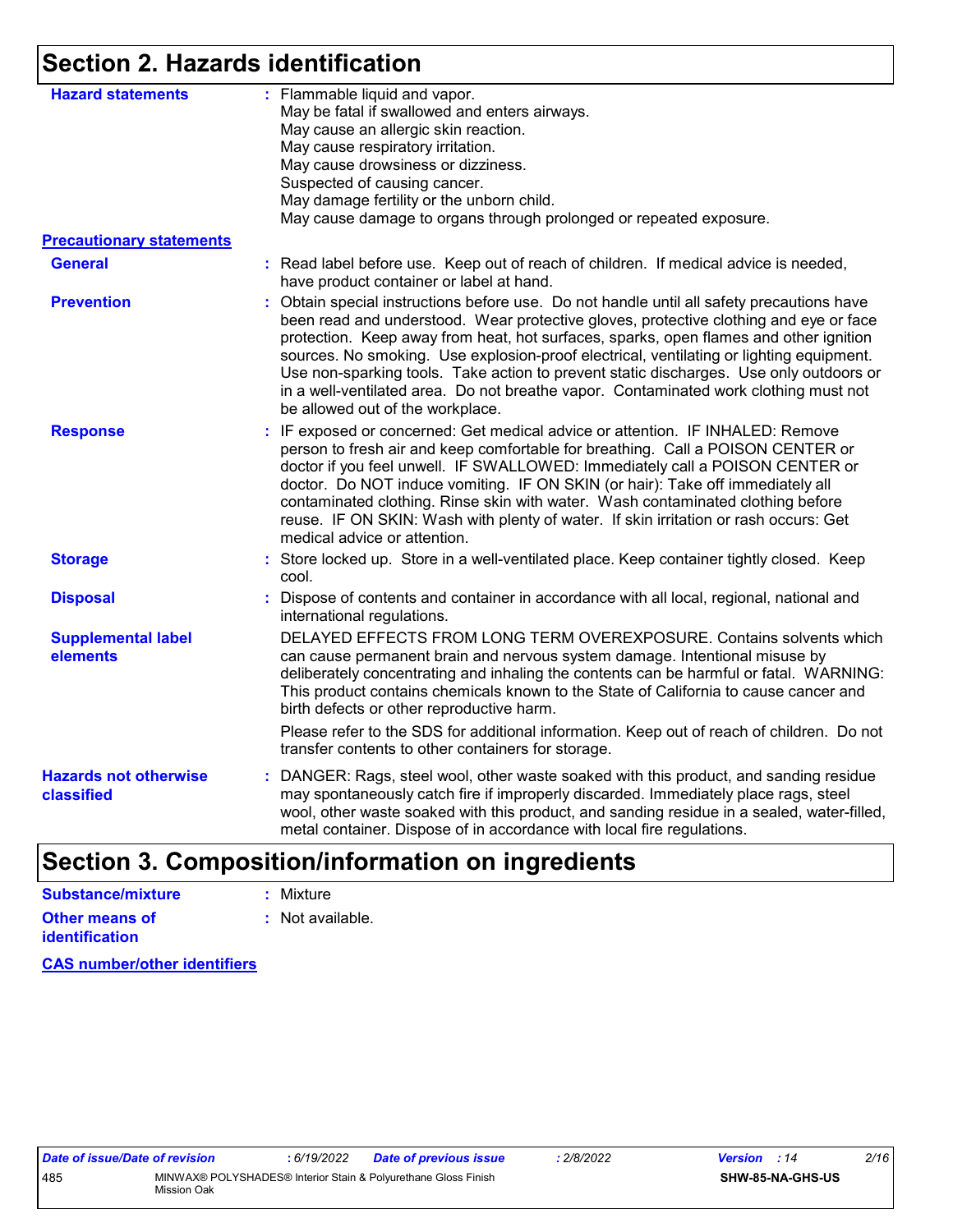### **Section 2. Hazards identification**

| <b>Hazard statements</b>                   | : Flammable liquid and vapor.<br>May be fatal if swallowed and enters airways.<br>May cause an allergic skin reaction.<br>May cause respiratory irritation.<br>May cause drowsiness or dizziness.<br>Suspected of causing cancer.<br>May damage fertility or the unborn child.<br>May cause damage to organs through prolonged or repeated exposure.                                                                                                                                                                                                                                         |
|--------------------------------------------|----------------------------------------------------------------------------------------------------------------------------------------------------------------------------------------------------------------------------------------------------------------------------------------------------------------------------------------------------------------------------------------------------------------------------------------------------------------------------------------------------------------------------------------------------------------------------------------------|
| <b>Precautionary statements</b>            |                                                                                                                                                                                                                                                                                                                                                                                                                                                                                                                                                                                              |
| <b>General</b>                             | : Read label before use. Keep out of reach of children. If medical advice is needed,<br>have product container or label at hand.                                                                                                                                                                                                                                                                                                                                                                                                                                                             |
| <b>Prevention</b>                          | : Obtain special instructions before use. Do not handle until all safety precautions have<br>been read and understood. Wear protective gloves, protective clothing and eye or face<br>protection. Keep away from heat, hot surfaces, sparks, open flames and other ignition<br>sources. No smoking. Use explosion-proof electrical, ventilating or lighting equipment.<br>Use non-sparking tools. Take action to prevent static discharges. Use only outdoors or<br>in a well-ventilated area. Do not breathe vapor. Contaminated work clothing must not<br>be allowed out of the workplace. |
| <b>Response</b>                            | : IF exposed or concerned: Get medical advice or attention. IF INHALED: Remove<br>person to fresh air and keep comfortable for breathing. Call a POISON CENTER or<br>doctor if you feel unwell. IF SWALLOWED: Immediately call a POISON CENTER or<br>doctor. Do NOT induce vomiting. IF ON SKIN (or hair): Take off immediately all<br>contaminated clothing. Rinse skin with water. Wash contaminated clothing before<br>reuse. IF ON SKIN: Wash with plenty of water. If skin irritation or rash occurs: Get<br>medical advice or attention.                                               |
| <b>Storage</b>                             | : Store locked up. Store in a well-ventilated place. Keep container tightly closed. Keep<br>cool.                                                                                                                                                                                                                                                                                                                                                                                                                                                                                            |
| <b>Disposal</b>                            | : Dispose of contents and container in accordance with all local, regional, national and<br>international regulations.                                                                                                                                                                                                                                                                                                                                                                                                                                                                       |
| <b>Supplemental label</b><br>elements      | DELAYED EFFECTS FROM LONG TERM OVEREXPOSURE. Contains solvents which<br>can cause permanent brain and nervous system damage. Intentional misuse by<br>deliberately concentrating and inhaling the contents can be harmful or fatal. WARNING:<br>This product contains chemicals known to the State of California to cause cancer and<br>birth defects or other reproductive harm.                                                                                                                                                                                                            |
|                                            | Please refer to the SDS for additional information. Keep out of reach of children. Do not<br>transfer contents to other containers for storage.                                                                                                                                                                                                                                                                                                                                                                                                                                              |
| <b>Hazards not otherwise</b><br>classified | : DANGER: Rags, steel wool, other waste soaked with this product, and sanding residue<br>may spontaneously catch fire if improperly discarded. Immediately place rags, steel<br>wool, other waste soaked with this product, and sanding residue in a sealed, water-filled,<br>metal container. Dispose of in accordance with local fire regulations.                                                                                                                                                                                                                                         |
|                                            |                                                                                                                                                                                                                                                                                                                                                                                                                                                                                                                                                                                              |

## **Section 3. Composition/information on ingredients**

| <b>Substance/mixture</b> | : Mixture        |
|--------------------------|------------------|
| <b>Other means of</b>    | : Not available. |
| <b>identification</b>    |                  |

**CAS number/other identifiers**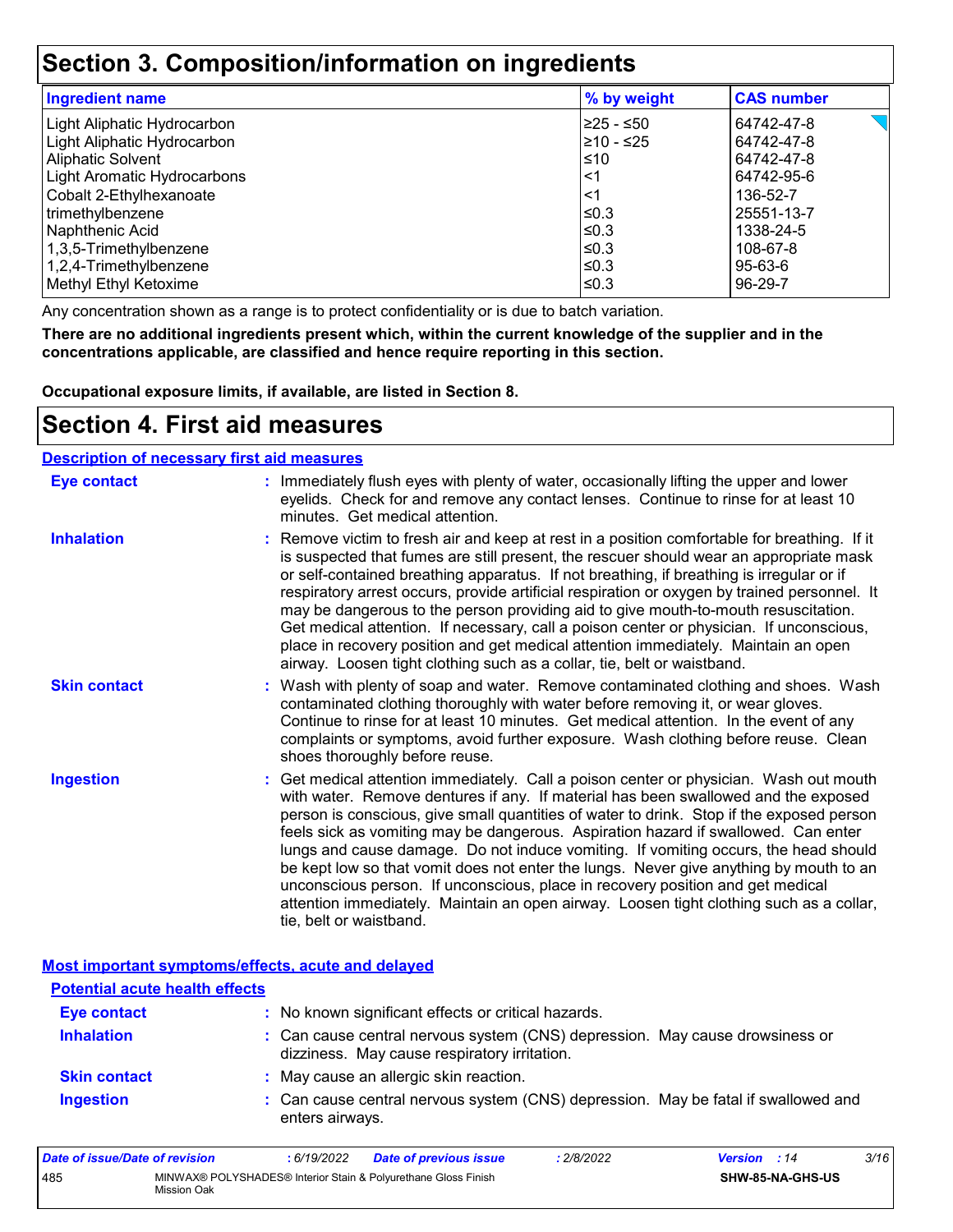### **Section 3. Composition/information on ingredients**

| <b>Ingredient name</b>      | % by weight | <b>CAS number</b> |
|-----------------------------|-------------|-------------------|
| Light Aliphatic Hydrocarbon | l≥25 - ≤50  | 64742-47-8        |
| Light Aliphatic Hydrocarbon | 210 - ≤25   | 64742-47-8        |
| <b>Aliphatic Solvent</b>    | ≤10         | 64742-47-8        |
| Light Aromatic Hydrocarbons | $<$ 1       | 64742-95-6        |
| Cobalt 2-Ethylhexanoate     | <1          | 136-52-7          |
| trimethylbenzene            | l≤0.3       | 25551-13-7        |
| Naphthenic Acid             | l≤0.3       | 1338-24-5         |
| 1,3,5-Trimethylbenzene      | l≤0.3       | 108-67-8          |
| 1,2,4-Trimethylbenzene      | ≤0.3        | 95-63-6           |
| Methyl Ethyl Ketoxime       | ≤0.3        | $96-29-7$         |

Any concentration shown as a range is to protect confidentiality or is due to batch variation.

**There are no additional ingredients present which, within the current knowledge of the supplier and in the concentrations applicable, are classified and hence require reporting in this section.**

**Occupational exposure limits, if available, are listed in Section 8.**

### **Section 4. First aid measures**

| <b>Description of necessary first aid measures</b> |                                                                                                                                                                                                                                                                                                                                                                                                                                                                                                                                                                                                                                                                                                                                                         |
|----------------------------------------------------|---------------------------------------------------------------------------------------------------------------------------------------------------------------------------------------------------------------------------------------------------------------------------------------------------------------------------------------------------------------------------------------------------------------------------------------------------------------------------------------------------------------------------------------------------------------------------------------------------------------------------------------------------------------------------------------------------------------------------------------------------------|
| <b>Eye contact</b>                                 | : Immediately flush eyes with plenty of water, occasionally lifting the upper and lower<br>eyelids. Check for and remove any contact lenses. Continue to rinse for at least 10<br>minutes. Get medical attention.                                                                                                                                                                                                                                                                                                                                                                                                                                                                                                                                       |
| <b>Inhalation</b>                                  | : Remove victim to fresh air and keep at rest in a position comfortable for breathing. If it<br>is suspected that fumes are still present, the rescuer should wear an appropriate mask<br>or self-contained breathing apparatus. If not breathing, if breathing is irregular or if<br>respiratory arrest occurs, provide artificial respiration or oxygen by trained personnel. It<br>may be dangerous to the person providing aid to give mouth-to-mouth resuscitation.<br>Get medical attention. If necessary, call a poison center or physician. If unconscious,<br>place in recovery position and get medical attention immediately. Maintain an open<br>airway. Loosen tight clothing such as a collar, tie, belt or waistband.                    |
| <b>Skin contact</b>                                | : Wash with plenty of soap and water. Remove contaminated clothing and shoes. Wash<br>contaminated clothing thoroughly with water before removing it, or wear gloves.<br>Continue to rinse for at least 10 minutes. Get medical attention. In the event of any<br>complaints or symptoms, avoid further exposure. Wash clothing before reuse. Clean<br>shoes thoroughly before reuse.                                                                                                                                                                                                                                                                                                                                                                   |
| <b>Ingestion</b>                                   | : Get medical attention immediately. Call a poison center or physician. Wash out mouth<br>with water. Remove dentures if any. If material has been swallowed and the exposed<br>person is conscious, give small quantities of water to drink. Stop if the exposed person<br>feels sick as vomiting may be dangerous. Aspiration hazard if swallowed. Can enter<br>lungs and cause damage. Do not induce vomiting. If vomiting occurs, the head should<br>be kept low so that vomit does not enter the lungs. Never give anything by mouth to an<br>unconscious person. If unconscious, place in recovery position and get medical<br>attention immediately. Maintain an open airway. Loosen tight clothing such as a collar,<br>tie, belt or waistband. |

#### **Most important symptoms/effects, acute and delayed**

| <b>Potential acute health effects</b> |                                                                                                                              |
|---------------------------------------|------------------------------------------------------------------------------------------------------------------------------|
| <b>Eye contact</b>                    | : No known significant effects or critical hazards.                                                                          |
| <b>Inhalation</b>                     | : Can cause central nervous system (CNS) depression. May cause drowsiness or<br>dizziness. May cause respiratory irritation. |
| <b>Skin contact</b>                   | : May cause an allergic skin reaction.                                                                                       |
| <b>Ingestion</b>                      | : Can cause central nervous system (CNS) depression. May be fatal if swallowed and<br>enters airways.                        |

| Date of issue/Date of revision |             | : 6/19/2022 | <b>Date of previous issue</b>                                  | .2/8/2022 | <b>Version</b> : 14 |                         | 3/16 |
|--------------------------------|-------------|-------------|----------------------------------------------------------------|-----------|---------------------|-------------------------|------|
| 485                            | Mission Oak |             | MINWAX® POLYSHADES® Interior Stain & Polyurethane Gloss Finish |           |                     | <b>SHW-85-NA-GHS-US</b> |      |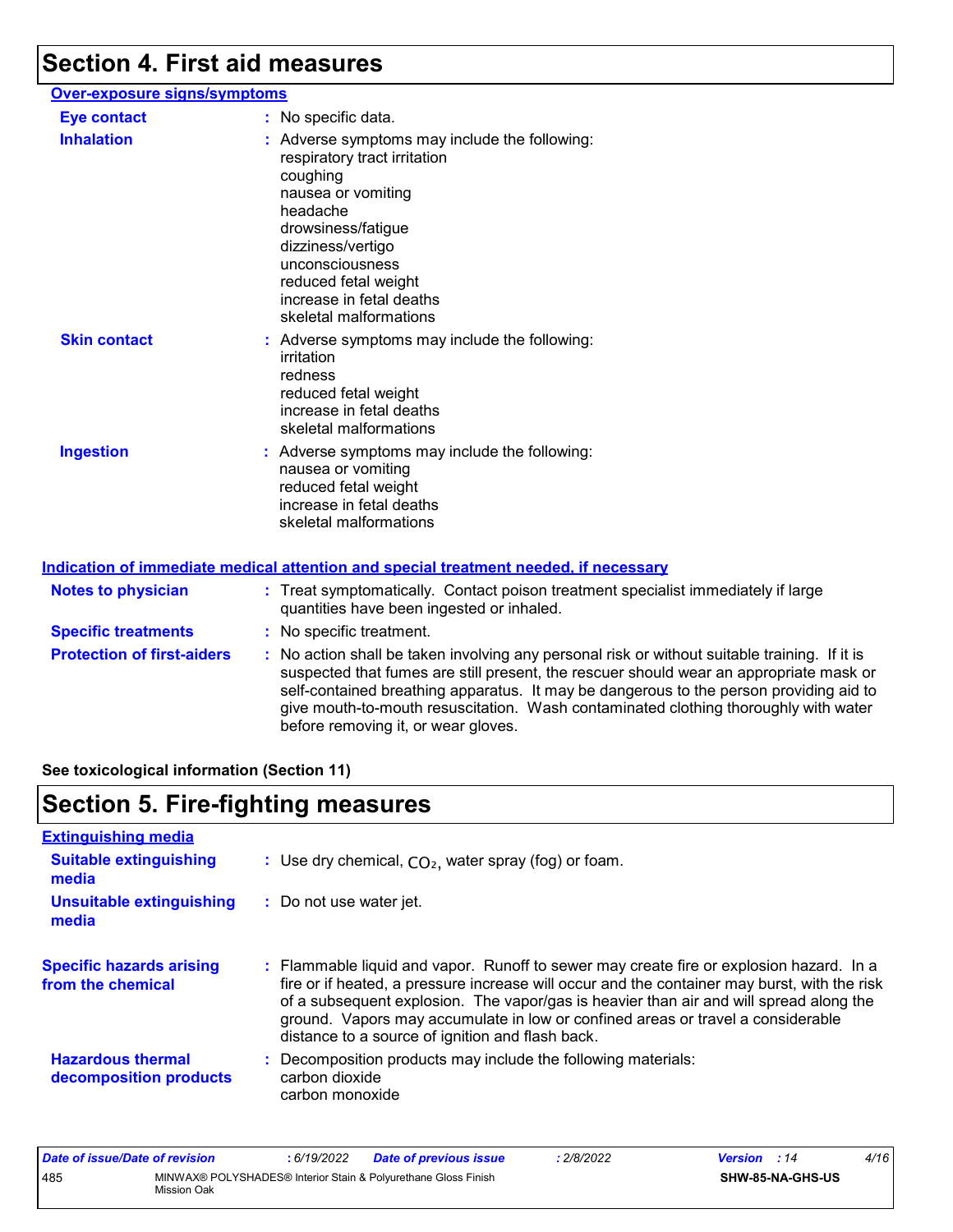# **Section 4. First aid measures**

| Over-exposure signs/symptoms |                                                                                                                                                                                                                                                                         |
|------------------------------|-------------------------------------------------------------------------------------------------------------------------------------------------------------------------------------------------------------------------------------------------------------------------|
| <b>Eye contact</b>           | : No specific data.                                                                                                                                                                                                                                                     |
| <b>Inhalation</b>            | : Adverse symptoms may include the following:<br>respiratory tract irritation<br>coughing<br>nausea or vomiting<br>headache<br>drowsiness/fatigue<br>dizziness/vertigo<br>unconsciousness<br>reduced fetal weight<br>increase in fetal deaths<br>skeletal malformations |
| <b>Skin contact</b>          | : Adverse symptoms may include the following:<br>irritation<br>redness<br>reduced fetal weight<br>increase in fetal deaths<br>skeletal malformations                                                                                                                    |
| <b>Ingestion</b>             | : Adverse symptoms may include the following:<br>nausea or vomiting<br>reduced fetal weight<br>increase in fetal deaths<br>skeletal malformations                                                                                                                       |
|                              | <b>Indication of immediate medical attention and special treatment needed, if necessary</b>                                                                                                                                                                             |
| Natos to physician           | Exact experience Contact poison tractment epocialist immor-                                                                                                                                                                                                             |

| <b>Notes to physician</b>         | : Treat symptomatically. Contact poison treatment specialist immediately if large<br>quantities have been ingested or inhaled.                                                                                                                                                                                                                                                                                  |
|-----------------------------------|-----------------------------------------------------------------------------------------------------------------------------------------------------------------------------------------------------------------------------------------------------------------------------------------------------------------------------------------------------------------------------------------------------------------|
| <b>Specific treatments</b>        | : No specific treatment.                                                                                                                                                                                                                                                                                                                                                                                        |
| <b>Protection of first-aiders</b> | : No action shall be taken involving any personal risk or without suitable training. If it is<br>suspected that fumes are still present, the rescuer should wear an appropriate mask or<br>self-contained breathing apparatus. It may be dangerous to the person providing aid to<br>give mouth-to-mouth resuscitation. Wash contaminated clothing thoroughly with water<br>before removing it, or wear gloves. |

**See toxicological information (Section 11)**

## **Section 5. Fire-fighting measures**

| <b>Extinguishing media</b>                           |                                                                                                                                                                                                                                                                                                                                                                                                                          |
|------------------------------------------------------|--------------------------------------------------------------------------------------------------------------------------------------------------------------------------------------------------------------------------------------------------------------------------------------------------------------------------------------------------------------------------------------------------------------------------|
| <b>Suitable extinguishing</b><br>media               | : Use dry chemical, $CO2$ , water spray (fog) or foam.                                                                                                                                                                                                                                                                                                                                                                   |
| Unsuitable extinguishing<br>media                    | : Do not use water jet.                                                                                                                                                                                                                                                                                                                                                                                                  |
| <b>Specific hazards arising</b><br>from the chemical | : Flammable liquid and vapor. Runoff to sewer may create fire or explosion hazard. In a<br>fire or if heated, a pressure increase will occur and the container may burst, with the risk<br>of a subsequent explosion. The vapor/gas is heavier than air and will spread along the<br>ground. Vapors may accumulate in low or confined areas or travel a considerable<br>distance to a source of ignition and flash back. |
| <b>Hazardous thermal</b><br>decomposition products   | : Decomposition products may include the following materials:<br>carbon dioxide<br>carbon monoxide                                                                                                                                                                                                                                                                                                                       |

| Date of issue/Date of revision |                                                                               | : 6/19/2022 | <b>Date of previous issue</b> | 2/8/2022 | <b>Version</b> : 14 |                         | 4/16 |
|--------------------------------|-------------------------------------------------------------------------------|-------------|-------------------------------|----------|---------------------|-------------------------|------|
| 485                            | MINWAX® POLYSHADES® Interior Stain & Polyurethane Gloss Finish<br>Mission Oak |             |                               |          |                     | <b>SHW-85-NA-GHS-US</b> |      |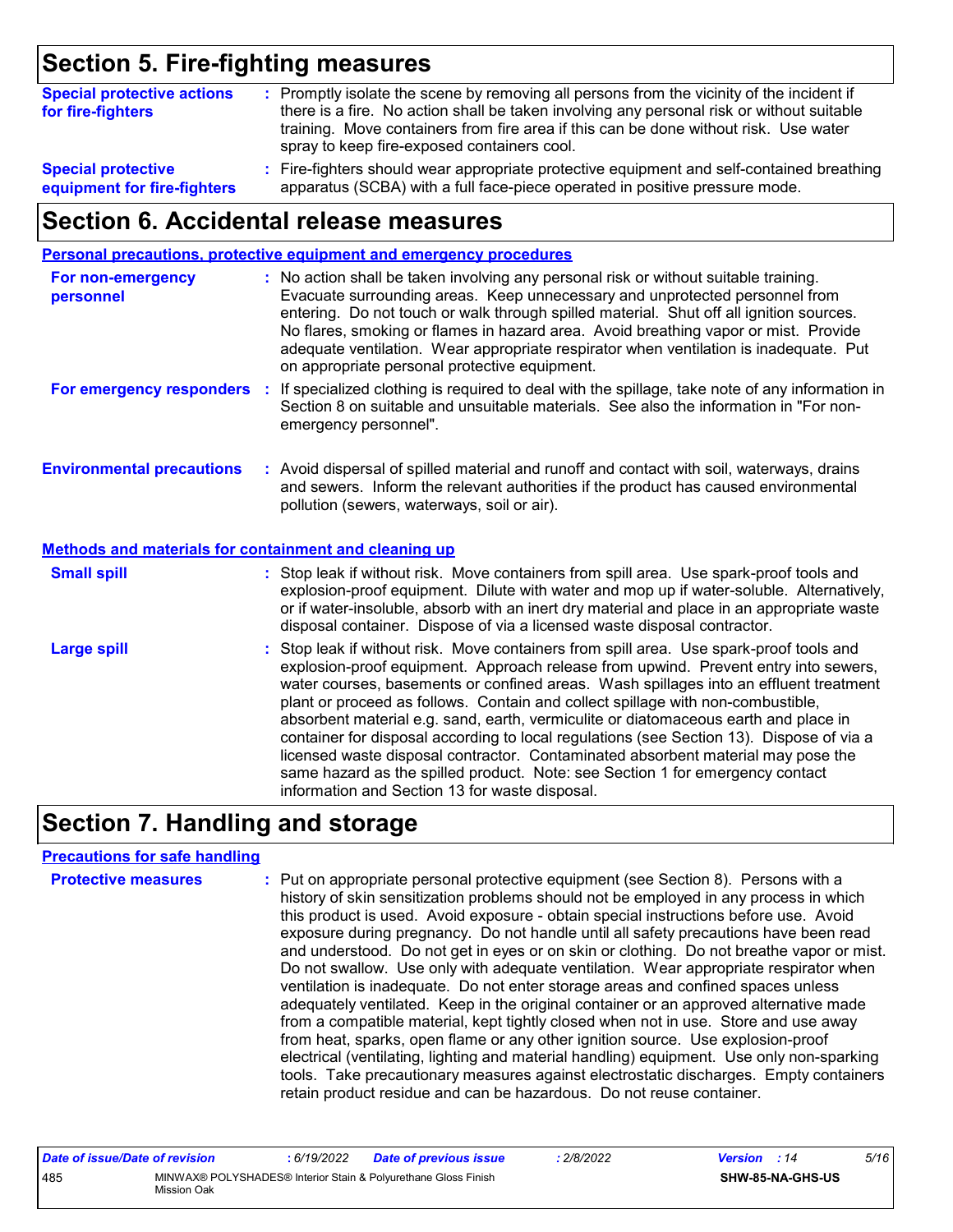### **Section 5. Fire-fighting measures**

| <b>Special protective actions</b><br>for fire-fighters   | : Promptly isolate the scene by removing all persons from the vicinity of the incident if<br>there is a fire. No action shall be taken involving any personal risk or without suitable<br>training. Move containers from fire area if this can be done without risk. Use water<br>spray to keep fire-exposed containers cool. |  |
|----------------------------------------------------------|-------------------------------------------------------------------------------------------------------------------------------------------------------------------------------------------------------------------------------------------------------------------------------------------------------------------------------|--|
| <b>Special protective</b><br>equipment for fire-fighters | : Fire-fighters should wear appropriate protective equipment and self-contained breathing<br>apparatus (SCBA) with a full face-piece operated in positive pressure mode.                                                                                                                                                      |  |

### **Section 6. Accidental release measures**

|                                                                                                                                                                                                                                                                     | Personal precautions, protective equipment and emergency procedures                                                                                                                                                                                                                                                                                                                                                                                                                                                                                                                                                                                                                                                                                                  |
|---------------------------------------------------------------------------------------------------------------------------------------------------------------------------------------------------------------------------------------------------------------------|----------------------------------------------------------------------------------------------------------------------------------------------------------------------------------------------------------------------------------------------------------------------------------------------------------------------------------------------------------------------------------------------------------------------------------------------------------------------------------------------------------------------------------------------------------------------------------------------------------------------------------------------------------------------------------------------------------------------------------------------------------------------|
| For non-emergency<br>personnel                                                                                                                                                                                                                                      | : No action shall be taken involving any personal risk or without suitable training.<br>Evacuate surrounding areas. Keep unnecessary and unprotected personnel from<br>entering. Do not touch or walk through spilled material. Shut off all ignition sources.<br>No flares, smoking or flames in hazard area. Avoid breathing vapor or mist. Provide<br>adequate ventilation. Wear appropriate respirator when ventilation is inadequate. Put<br>on appropriate personal protective equipment.                                                                                                                                                                                                                                                                      |
| For emergency responders                                                                                                                                                                                                                                            | : If specialized clothing is required to deal with the spillage, take note of any information in<br>Section 8 on suitable and unsuitable materials. See also the information in "For non-<br>emergency personnel".                                                                                                                                                                                                                                                                                                                                                                                                                                                                                                                                                   |
| <b>Environmental precautions</b><br>: Avoid dispersal of spilled material and runoff and contact with soil, waterways, drains<br>and sewers. Inform the relevant authorities if the product has caused environmental<br>pollution (sewers, waterways, soil or air). |                                                                                                                                                                                                                                                                                                                                                                                                                                                                                                                                                                                                                                                                                                                                                                      |
| <b>Methods and materials for containment and cleaning up</b>                                                                                                                                                                                                        |                                                                                                                                                                                                                                                                                                                                                                                                                                                                                                                                                                                                                                                                                                                                                                      |
| <b>Small spill</b>                                                                                                                                                                                                                                                  | : Stop leak if without risk. Move containers from spill area. Use spark-proof tools and<br>explosion-proof equipment. Dilute with water and mop up if water-soluble. Alternatively,<br>or if water-insoluble, absorb with an inert dry material and place in an appropriate waste<br>disposal container. Dispose of via a licensed waste disposal contractor.                                                                                                                                                                                                                                                                                                                                                                                                        |
| <b>Large spill</b>                                                                                                                                                                                                                                                  | : Stop leak if without risk. Move containers from spill area. Use spark-proof tools and<br>explosion-proof equipment. Approach release from upwind. Prevent entry into sewers,<br>water courses, basements or confined areas. Wash spillages into an effluent treatment<br>plant or proceed as follows. Contain and collect spillage with non-combustible,<br>absorbent material e.g. sand, earth, vermiculite or diatomaceous earth and place in<br>container for disposal according to local regulations (see Section 13). Dispose of via a<br>licensed waste disposal contractor. Contaminated absorbent material may pose the<br>same hazard as the spilled product. Note: see Section 1 for emergency contact<br>information and Section 13 for waste disposal. |

### **Section 7. Handling and storage**

#### **Precautions for safe handling**

| <b>Protective measures</b> | : Put on appropriate personal protective equipment (see Section 8). Persons with a<br>history of skin sensitization problems should not be employed in any process in which<br>this product is used. Avoid exposure - obtain special instructions before use. Avoid<br>exposure during pregnancy. Do not handle until all safety precautions have been read<br>and understood. Do not get in eyes or on skin or clothing. Do not breathe vapor or mist.<br>Do not swallow. Use only with adequate ventilation. Wear appropriate respirator when<br>ventilation is inadequate. Do not enter storage areas and confined spaces unless<br>adequately ventilated. Keep in the original container or an approved alternative made<br>from a compatible material, kept tightly closed when not in use. Store and use away<br>from heat, sparks, open flame or any other ignition source. Use explosion-proof<br>electrical (ventilating, lighting and material handling) equipment. Use only non-sparking<br>tools. Take precautionary measures against electrostatic discharges. Empty containers |
|----------------------------|----------------------------------------------------------------------------------------------------------------------------------------------------------------------------------------------------------------------------------------------------------------------------------------------------------------------------------------------------------------------------------------------------------------------------------------------------------------------------------------------------------------------------------------------------------------------------------------------------------------------------------------------------------------------------------------------------------------------------------------------------------------------------------------------------------------------------------------------------------------------------------------------------------------------------------------------------------------------------------------------------------------------------------------------------------------------------------------------|
|                            | retain product residue and can be hazardous. Do not reuse container.                                                                                                                                                                                                                                                                                                                                                                                                                                                                                                                                                                                                                                                                                                                                                                                                                                                                                                                                                                                                                         |

| Date of issue/Date of revision |             | 6/19/2022 | <b>Date of previous issue</b>                                  | 2/8/2022 | <b>Version</b> : 14 |                  | 5/16 |
|--------------------------------|-------------|-----------|----------------------------------------------------------------|----------|---------------------|------------------|------|
| 485                            | Mission Oak |           | MINWAX® POLYSHADES® Interior Stain & Polyurethane Gloss Finish |          |                     | SHW-85-NA-GHS-US |      |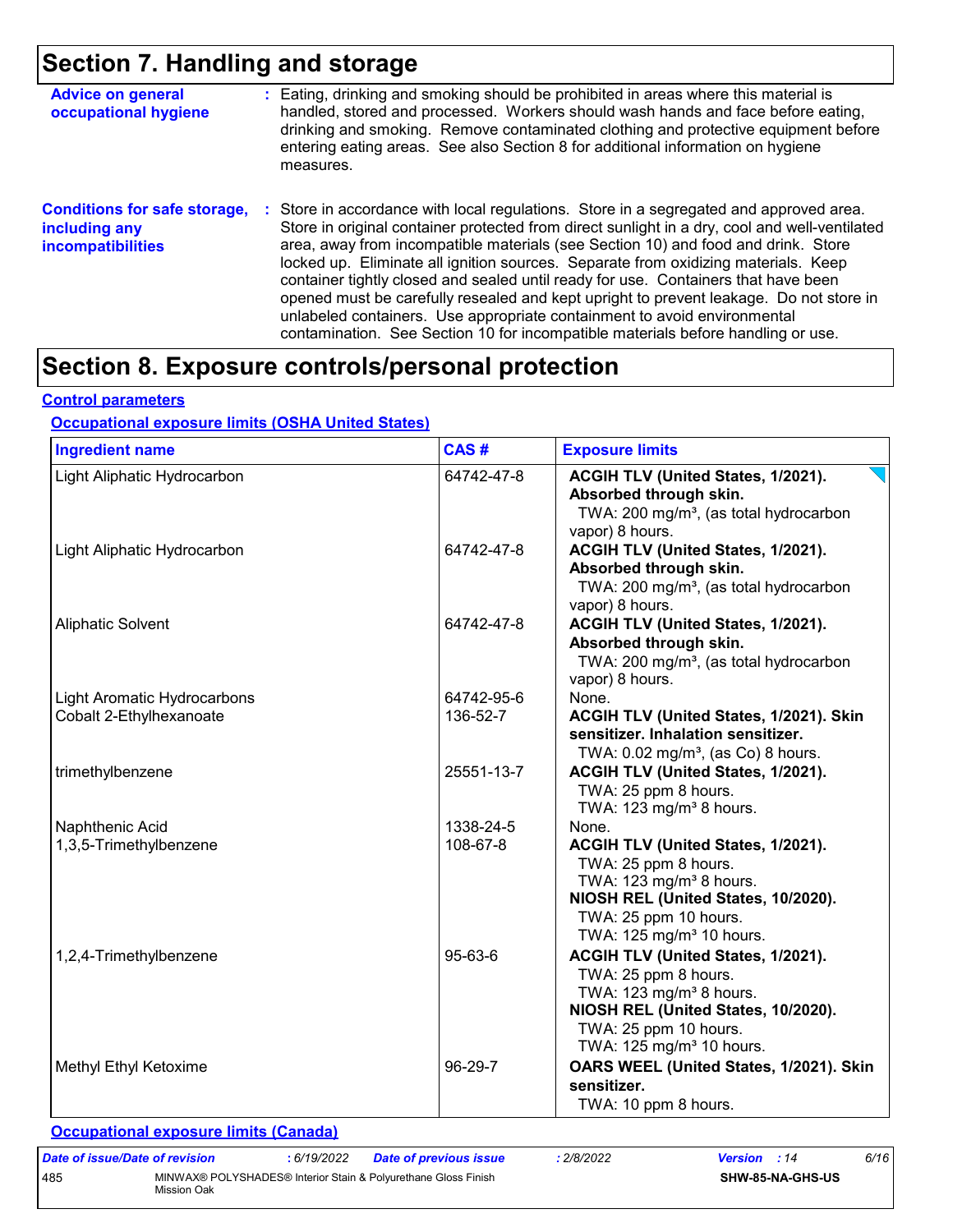### **Section 7. Handling and storage**

| <b>Advice on general</b><br>occupational hygiene                                 | : Eating, drinking and smoking should be prohibited in areas where this material is<br>handled, stored and processed. Workers should wash hands and face before eating,<br>drinking and smoking. Remove contaminated clothing and protective equipment before<br>entering eating areas. See also Section 8 for additional information on hygiene<br>measures.                                                                                                                                                                                                                                                                                                                                                          |
|----------------------------------------------------------------------------------|------------------------------------------------------------------------------------------------------------------------------------------------------------------------------------------------------------------------------------------------------------------------------------------------------------------------------------------------------------------------------------------------------------------------------------------------------------------------------------------------------------------------------------------------------------------------------------------------------------------------------------------------------------------------------------------------------------------------|
| <b>Conditions for safe storage,</b><br>including any<br><b>incompatibilities</b> | Store in accordance with local regulations. Store in a segregated and approved area.<br>÷.<br>Store in original container protected from direct sunlight in a dry, cool and well-ventilated<br>area, away from incompatible materials (see Section 10) and food and drink. Store<br>locked up. Eliminate all ignition sources. Separate from oxidizing materials. Keep<br>container tightly closed and sealed until ready for use. Containers that have been<br>opened must be carefully resealed and kept upright to prevent leakage. Do not store in<br>unlabeled containers. Use appropriate containment to avoid environmental<br>contamination. See Section 10 for incompatible materials before handling or use. |

### **Section 8. Exposure controls/personal protection**

#### **Control parameters**

### **Occupational exposure limits (OSHA United States)**

| <b>Ingredient name</b>             | CAS#       | <b>Exposure limits</b>                                                                                                                                                                                      |
|------------------------------------|------------|-------------------------------------------------------------------------------------------------------------------------------------------------------------------------------------------------------------|
| Light Aliphatic Hydrocarbon        | 64742-47-8 | ACGIH TLV (United States, 1/2021).<br>Absorbed through skin.<br>TWA: 200 mg/m <sup>3</sup> , (as total hydrocarbon<br>vapor) 8 hours.                                                                       |
| Light Aliphatic Hydrocarbon        | 64742-47-8 | ACGIH TLV (United States, 1/2021).<br>Absorbed through skin.<br>TWA: 200 mg/m <sup>3</sup> , (as total hydrocarbon<br>vapor) 8 hours.                                                                       |
| <b>Aliphatic Solvent</b>           | 64742-47-8 | ACGIH TLV (United States, 1/2021).<br>Absorbed through skin.<br>TWA: 200 mg/m <sup>3</sup> , (as total hydrocarbon<br>vapor) 8 hours.                                                                       |
| <b>Light Aromatic Hydrocarbons</b> | 64742-95-6 | None.                                                                                                                                                                                                       |
| Cobalt 2-Ethylhexanoate            | 136-52-7   | ACGIH TLV (United States, 1/2021). Skin<br>sensitizer. Inhalation sensitizer.<br>TWA: $0.02$ mg/m <sup>3</sup> , (as Co) 8 hours.                                                                           |
| trimethylbenzene                   | 25551-13-7 | ACGIH TLV (United States, 1/2021).<br>TWA: 25 ppm 8 hours.<br>TWA: 123 mg/m <sup>3</sup> 8 hours.                                                                                                           |
| Naphthenic Acid                    | 1338-24-5  | None.                                                                                                                                                                                                       |
| 1,3,5-Trimethylbenzene             | 108-67-8   | ACGIH TLV (United States, 1/2021).<br>TWA: 25 ppm 8 hours.<br>TWA: $123$ mg/m <sup>3</sup> 8 hours.<br>NIOSH REL (United States, 10/2020).<br>TWA: 25 ppm 10 hours.<br>TWA: 125 mg/m <sup>3</sup> 10 hours. |
| 1,2,4-Trimethylbenzene             | 95-63-6    | ACGIH TLV (United States, 1/2021).<br>TWA: 25 ppm 8 hours.<br>TWA: 123 mg/m <sup>3</sup> 8 hours.<br>NIOSH REL (United States, 10/2020).<br>TWA: 25 ppm 10 hours.<br>TWA: 125 mg/m <sup>3</sup> 10 hours.   |
| Methyl Ethyl Ketoxime              | 96-29-7    | OARS WEEL (United States, 1/2021). Skin<br>sensitizer.<br>TWA: 10 ppm 8 hours.                                                                                                                              |

#### **Occupational exposure limits (Canada)**

| Date of issue/Date of revision |             | : 6/19/2022 | <b>Date of previous issue</b>                                  | 2/8/2022 | <b>Version</b> : 14 |                         | 6/16 |
|--------------------------------|-------------|-------------|----------------------------------------------------------------|----------|---------------------|-------------------------|------|
| 485                            | Mission Oak |             | MINWAX® POLYSHADES® Interior Stain & Polyurethane Gloss Finish |          |                     | <b>SHW-85-NA-GHS-US</b> |      |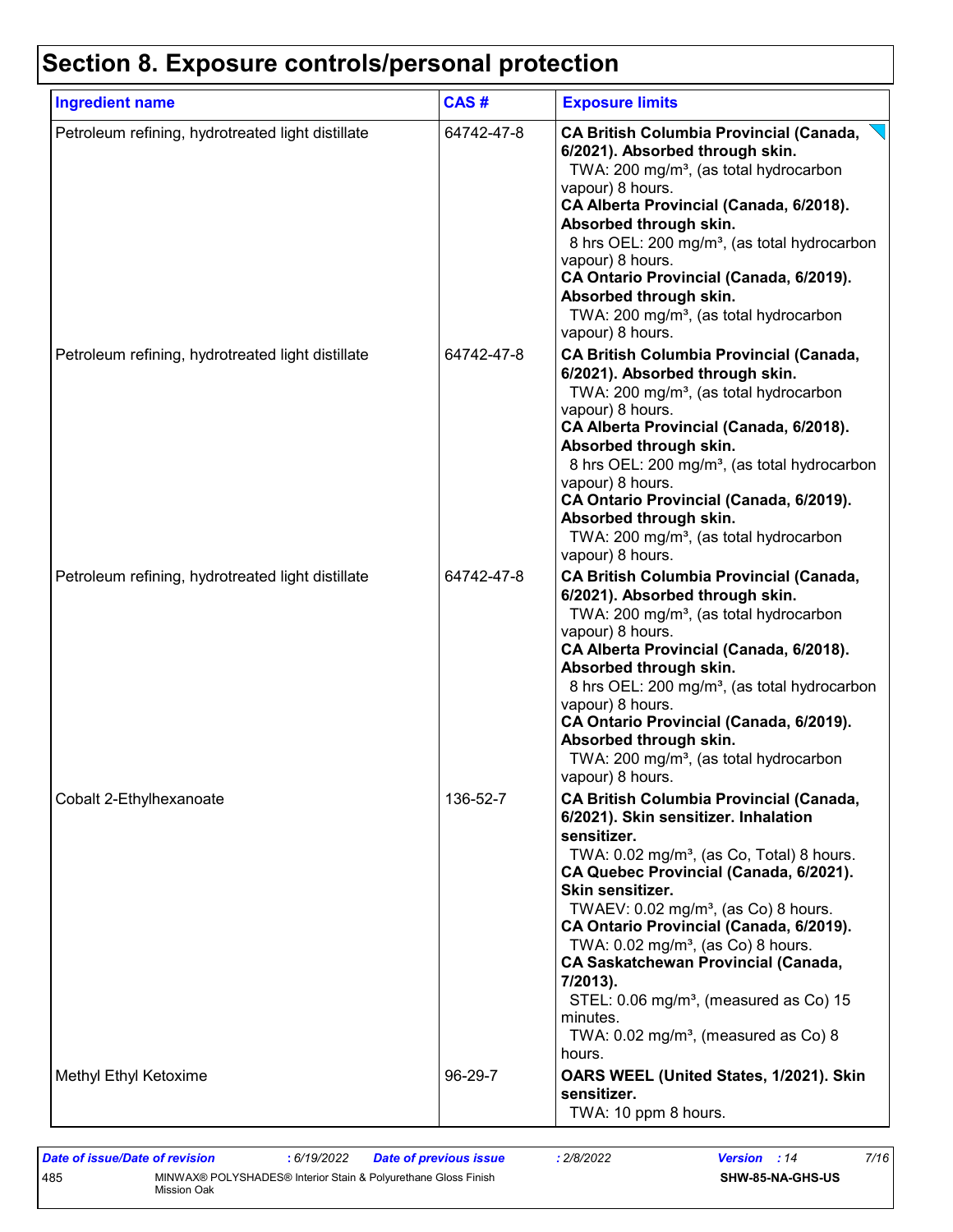# **Section 8. Exposure controls/personal protection**

| <b>Ingredient name</b>                            | CAS#       | <b>Exposure limits</b>                                                                                                                                                                                                                                                                                                                                                                                                                                                                                                                                                      |
|---------------------------------------------------|------------|-----------------------------------------------------------------------------------------------------------------------------------------------------------------------------------------------------------------------------------------------------------------------------------------------------------------------------------------------------------------------------------------------------------------------------------------------------------------------------------------------------------------------------------------------------------------------------|
| Petroleum refining, hydrotreated light distillate | 64742-47-8 | <b>CA British Columbia Provincial (Canada,</b><br>6/2021). Absorbed through skin.<br>TWA: 200 mg/m <sup>3</sup> , (as total hydrocarbon<br>vapour) 8 hours.<br>CA Alberta Provincial (Canada, 6/2018).<br>Absorbed through skin.<br>8 hrs OEL: 200 mg/m <sup>3</sup> , (as total hydrocarbon<br>vapour) 8 hours.<br>CA Ontario Provincial (Canada, 6/2019).<br>Absorbed through skin.<br>TWA: 200 mg/m <sup>3</sup> , (as total hydrocarbon<br>vapour) 8 hours.                                                                                                             |
| Petroleum refining, hydrotreated light distillate | 64742-47-8 | <b>CA British Columbia Provincial (Canada,</b><br>6/2021). Absorbed through skin.<br>TWA: 200 mg/m <sup>3</sup> , (as total hydrocarbon<br>vapour) 8 hours.<br>CA Alberta Provincial (Canada, 6/2018).<br>Absorbed through skin.<br>8 hrs OEL: 200 mg/m <sup>3</sup> , (as total hydrocarbon<br>vapour) 8 hours.<br>CA Ontario Provincial (Canada, 6/2019).<br>Absorbed through skin.<br>TWA: 200 mg/m <sup>3</sup> , (as total hydrocarbon<br>vapour) 8 hours.                                                                                                             |
| Petroleum refining, hydrotreated light distillate | 64742-47-8 | <b>CA British Columbia Provincial (Canada,</b><br>6/2021). Absorbed through skin.<br>TWA: 200 mg/m <sup>3</sup> , (as total hydrocarbon<br>vapour) 8 hours.<br>CA Alberta Provincial (Canada, 6/2018).<br>Absorbed through skin.<br>8 hrs OEL: 200 mg/m <sup>3</sup> , (as total hydrocarbon<br>vapour) 8 hours.<br>CA Ontario Provincial (Canada, 6/2019).<br>Absorbed through skin.<br>TWA: 200 mg/m <sup>3</sup> , (as total hydrocarbon<br>vapour) 8 hours.                                                                                                             |
| Cobalt 2-Ethylhexanoate                           | 136-52-7   | <b>CA British Columbia Provincial (Canada,</b><br>6/2021). Skin sensitizer. Inhalation<br>sensitizer.<br>TWA: 0.02 mg/m <sup>3</sup> , (as Co, Total) 8 hours.<br>CA Quebec Provincial (Canada, 6/2021).<br>Skin sensitizer.<br>TWAEV: 0.02 mg/m <sup>3</sup> , (as Co) 8 hours.<br>CA Ontario Provincial (Canada, 6/2019).<br>TWA: $0.02$ mg/m <sup>3</sup> , (as Co) 8 hours.<br><b>CA Saskatchewan Provincial (Canada,</b><br>7/2013).<br>STEL: 0.06 mg/m <sup>3</sup> , (measured as Co) 15<br>minutes.<br>TWA: $0.02$ mg/m <sup>3</sup> , (measured as Co) 8<br>hours. |
| Methyl Ethyl Ketoxime                             | 96-29-7    | OARS WEEL (United States, 1/2021). Skin<br>sensitizer.<br>TWA: 10 ppm 8 hours.                                                                                                                                                                                                                                                                                                                                                                                                                                                                                              |

*Date of issue/Date of revision* **:** *6/19/2022 Date of previous issue : 2/8/2022 Version : 14 7/16* 485 MINWAX® POLYSHADES® Interior Stain & Polyurethane Gloss Finish Mission Oak **SHW-85-NA-GHS-US**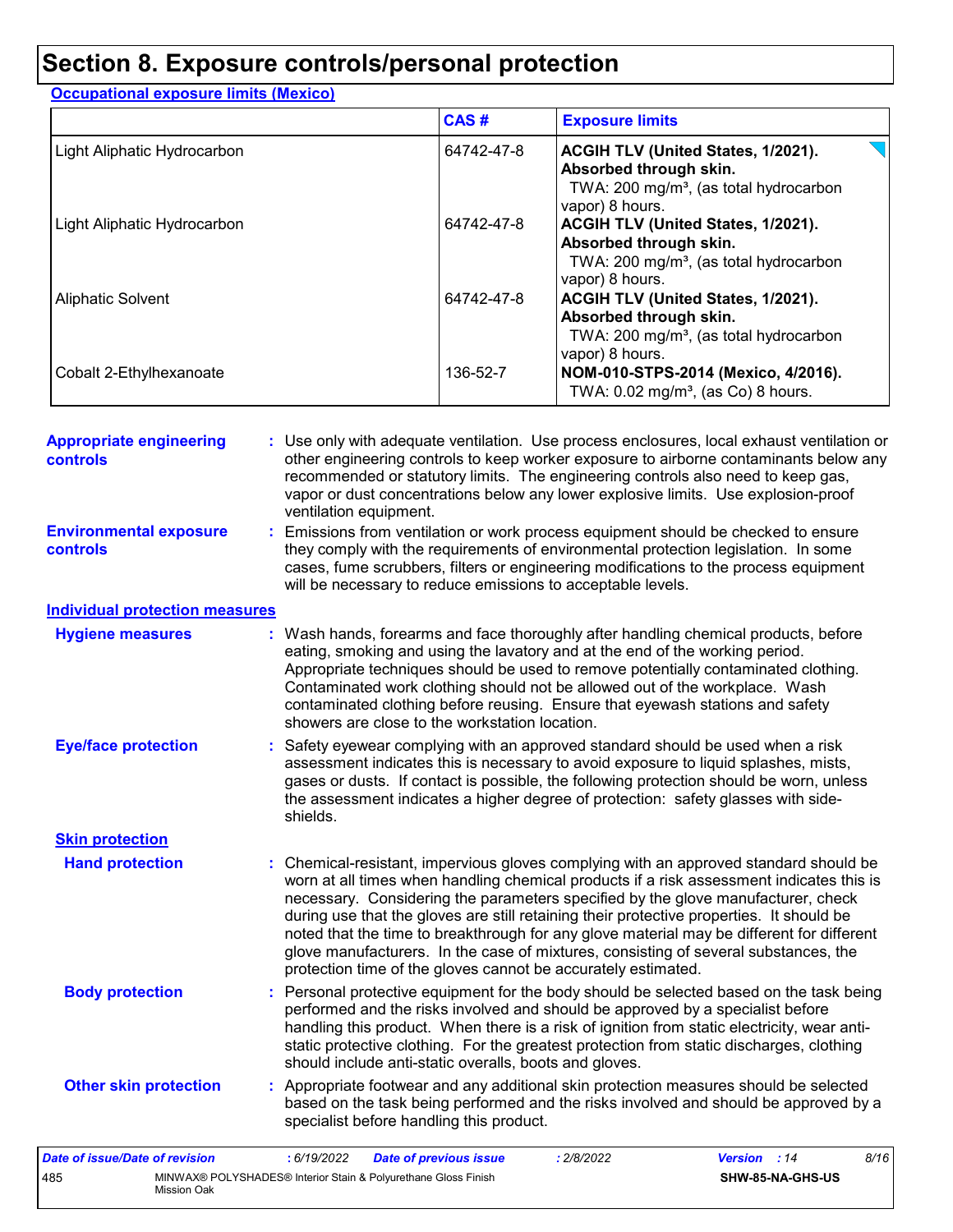### **Section 8. Exposure controls/personal protection**

#### Light Aliphatic Hydrocarbon 64742-47-8 **ACGIH TLV (United States, 1/2021). Absorbed through skin.** TWA: 200 mg/m<sup>3</sup>, (as total hydrocarbon vapor) 8 hours. Light Aliphatic Hydrocarbon **Contract 104742-47-8 ACGIH TLV (United States, 1/2021). Absorbed through skin.** TWA: 200 mg/m<sup>3</sup>, (as total hydrocarbon vapor) 8 hours. Aliphatic Solvent **64742-47-8 ACGIH TLV (United States, 1/2021). ACGIH TLV (United States, 1/2021). Absorbed through skin.** TWA: 200 mg/m<sup>3</sup>, (as total hydrocarbon vapor) 8 hours. Cobalt 2-Ethylhexanoate 136-52-7 **NOM-010-STPS-2014 (Mexico, 4/2016).** TWA:  $0.02$  mg/m<sup>3</sup>, (as Co) 8 hours. **Exposure limits Occupational exposure limits (Mexico) CAS #**

| <b>Appropriate engineering</b><br><b>controls</b> | : Use only with adequate ventilation. Use process enclosures, local exhaust ventilation or<br>other engineering controls to keep worker exposure to airborne contaminants below any<br>recommended or statutory limits. The engineering controls also need to keep gas,<br>vapor or dust concentrations below any lower explosive limits. Use explosion-proof<br>ventilation equipment.                                                                                                                                                                                                                                |
|---------------------------------------------------|------------------------------------------------------------------------------------------------------------------------------------------------------------------------------------------------------------------------------------------------------------------------------------------------------------------------------------------------------------------------------------------------------------------------------------------------------------------------------------------------------------------------------------------------------------------------------------------------------------------------|
| <b>Environmental exposure</b><br><b>controls</b>  | : Emissions from ventilation or work process equipment should be checked to ensure<br>they comply with the requirements of environmental protection legislation. In some<br>cases, fume scrubbers, filters or engineering modifications to the process equipment<br>will be necessary to reduce emissions to acceptable levels.                                                                                                                                                                                                                                                                                        |
| <b>Individual protection measures</b>             |                                                                                                                                                                                                                                                                                                                                                                                                                                                                                                                                                                                                                        |
| <b>Hygiene measures</b>                           | : Wash hands, forearms and face thoroughly after handling chemical products, before<br>eating, smoking and using the lavatory and at the end of the working period.<br>Appropriate techniques should be used to remove potentially contaminated clothing.<br>Contaminated work clothing should not be allowed out of the workplace. Wash<br>contaminated clothing before reusing. Ensure that eyewash stations and safety<br>showers are close to the workstation location.                                                                                                                                            |
| <b>Eye/face protection</b>                        | : Safety eyewear complying with an approved standard should be used when a risk<br>assessment indicates this is necessary to avoid exposure to liquid splashes, mists,<br>gases or dusts. If contact is possible, the following protection should be worn, unless<br>the assessment indicates a higher degree of protection: safety glasses with side-<br>shields.                                                                                                                                                                                                                                                     |
| <b>Skin protection</b>                            |                                                                                                                                                                                                                                                                                                                                                                                                                                                                                                                                                                                                                        |
| <b>Hand protection</b>                            | : Chemical-resistant, impervious gloves complying with an approved standard should be<br>worn at all times when handling chemical products if a risk assessment indicates this is<br>necessary. Considering the parameters specified by the glove manufacturer, check<br>during use that the gloves are still retaining their protective properties. It should be<br>noted that the time to breakthrough for any glove material may be different for different<br>glove manufacturers. In the case of mixtures, consisting of several substances, the<br>protection time of the gloves cannot be accurately estimated. |
| <b>Body protection</b>                            | : Personal protective equipment for the body should be selected based on the task being<br>performed and the risks involved and should be approved by a specialist before<br>handling this product. When there is a risk of ignition from static electricity, wear anti-<br>static protective clothing. For the greatest protection from static discharges, clothing<br>should include anti-static overalls, boots and gloves.                                                                                                                                                                                         |
| <b>Other skin protection</b>                      | : Appropriate footwear and any additional skin protection measures should be selected<br>based on the task being performed and the risks involved and should be approved by a<br>specialist before handling this product.                                                                                                                                                                                                                                                                                                                                                                                              |
| Date of issue/Date of revision                    | : 6/19/2022<br><b>Date of previous issue</b><br>: 2/8/2022<br>Version : 14<br>8/16                                                                                                                                                                                                                                                                                                                                                                                                                                                                                                                                     |

**SHW-85-NA-GHS-US**

485 MINWAX® POLYSHADES® Interior Stain & Polyurethane Gloss Finish

Mission Oak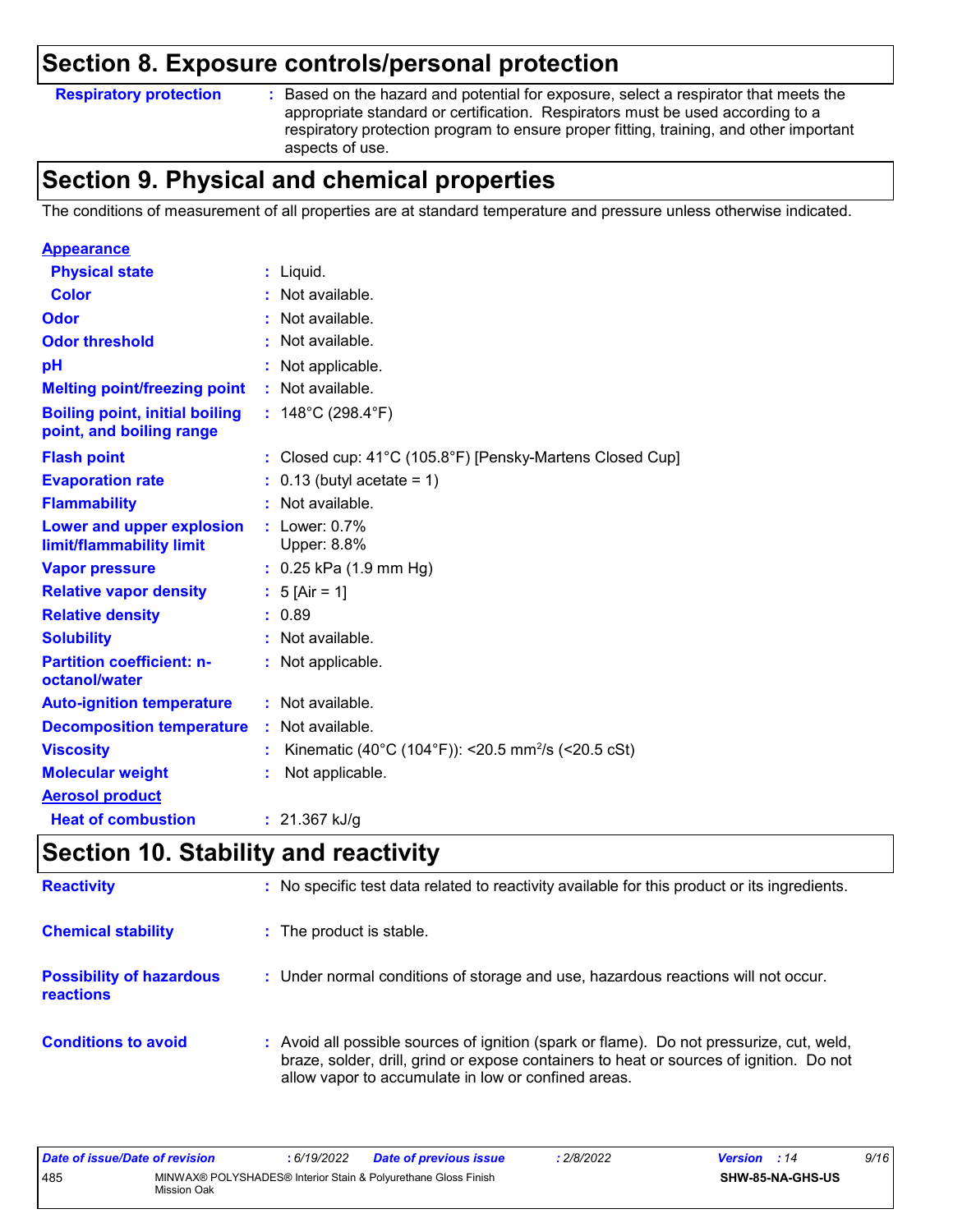### **Section 8. Exposure controls/personal protection**

**Respiratory protection :**

Based on the hazard and potential for exposure, select a respirator that meets the appropriate standard or certification. Respirators must be used according to a respiratory protection program to ensure proper fitting, training, and other important aspects of use.

### **Section 9. Physical and chemical properties**

The conditions of measurement of all properties are at standard temperature and pressure unless otherwise indicated.

| <b>Appearance</b>                                                 |    |                                                                |
|-------------------------------------------------------------------|----|----------------------------------------------------------------|
| <b>Physical state</b>                                             |    | $:$ Liquid.                                                    |
| Color                                                             |    | : Not available.                                               |
| Odor                                                              |    | : Not available.                                               |
| <b>Odor threshold</b>                                             |    | Not available.                                                 |
| рH                                                                |    | Not applicable.                                                |
| <b>Melting point/freezing point</b>                               |    | : Not available.                                               |
| <b>Boiling point, initial boiling</b><br>point, and boiling range |    | : $148^{\circ}$ C (298.4 $^{\circ}$ F)                         |
| <b>Flash point</b>                                                |    | : Closed cup: 41°C (105.8°F) [Pensky-Martens Closed Cup]       |
| <b>Evaporation rate</b>                                           |    | $0.13$ (butyl acetate = 1)                                     |
| <b>Flammability</b>                                               |    | Not available.                                                 |
| Lower and upper explosion<br>limit/flammability limit             |    | : Lower: $0.7\%$<br>Upper: 8.8%                                |
| <b>Vapor pressure</b>                                             |    | $: 0.25$ kPa (1.9 mm Hg)                                       |
| <b>Relative vapor density</b>                                     |    | : $5$ [Air = 1]                                                |
| <b>Relative density</b>                                           |    | : 0.89                                                         |
| <b>Solubility</b>                                                 |    | Not available.                                                 |
| <b>Partition coefficient: n-</b><br>octanol/water                 |    | : Not applicable.                                              |
| <b>Auto-ignition temperature</b>                                  |    | : Not available.                                               |
| <b>Decomposition temperature</b>                                  | ÷. | Not available.                                                 |
| <b>Viscosity</b>                                                  |    | Kinematic (40°C (104°F)): <20.5 mm <sup>2</sup> /s (<20.5 cSt) |
| <b>Molecular weight</b>                                           |    | Not applicable.                                                |
| <b>Aerosol product</b>                                            |    |                                                                |
| <b>Heat of combustion</b>                                         |    | : $21.367$ kJ/g                                                |

### **Section 10. Stability and reactivity**

| <b>Reactivity</b>                            | : No specific test data related to reactivity available for this product or its ingredients.                                                                                                                                               |
|----------------------------------------------|--------------------------------------------------------------------------------------------------------------------------------------------------------------------------------------------------------------------------------------------|
| <b>Chemical stability</b>                    | : The product is stable.                                                                                                                                                                                                                   |
| <b>Possibility of hazardous</b><br>reactions | : Under normal conditions of storage and use, hazardous reactions will not occur.                                                                                                                                                          |
| <b>Conditions to avoid</b>                   | : Avoid all possible sources of ignition (spark or flame). Do not pressurize, cut, weld,<br>braze, solder, drill, grind or expose containers to heat or sources of ignition. Do not<br>allow vapor to accumulate in low or confined areas. |

| Date of issue/Date of revision |             | : 6/19/2022 | <b>Date of previous issue</b>                                  | 2/8/2022 | <b>Version</b> : 14 |                         | 9/16 |
|--------------------------------|-------------|-------------|----------------------------------------------------------------|----------|---------------------|-------------------------|------|
| 485                            | Mission Oak |             | MINWAX® POLYSHADES® Interior Stain & Polyurethane Gloss Finish |          |                     | <b>SHW-85-NA-GHS-US</b> |      |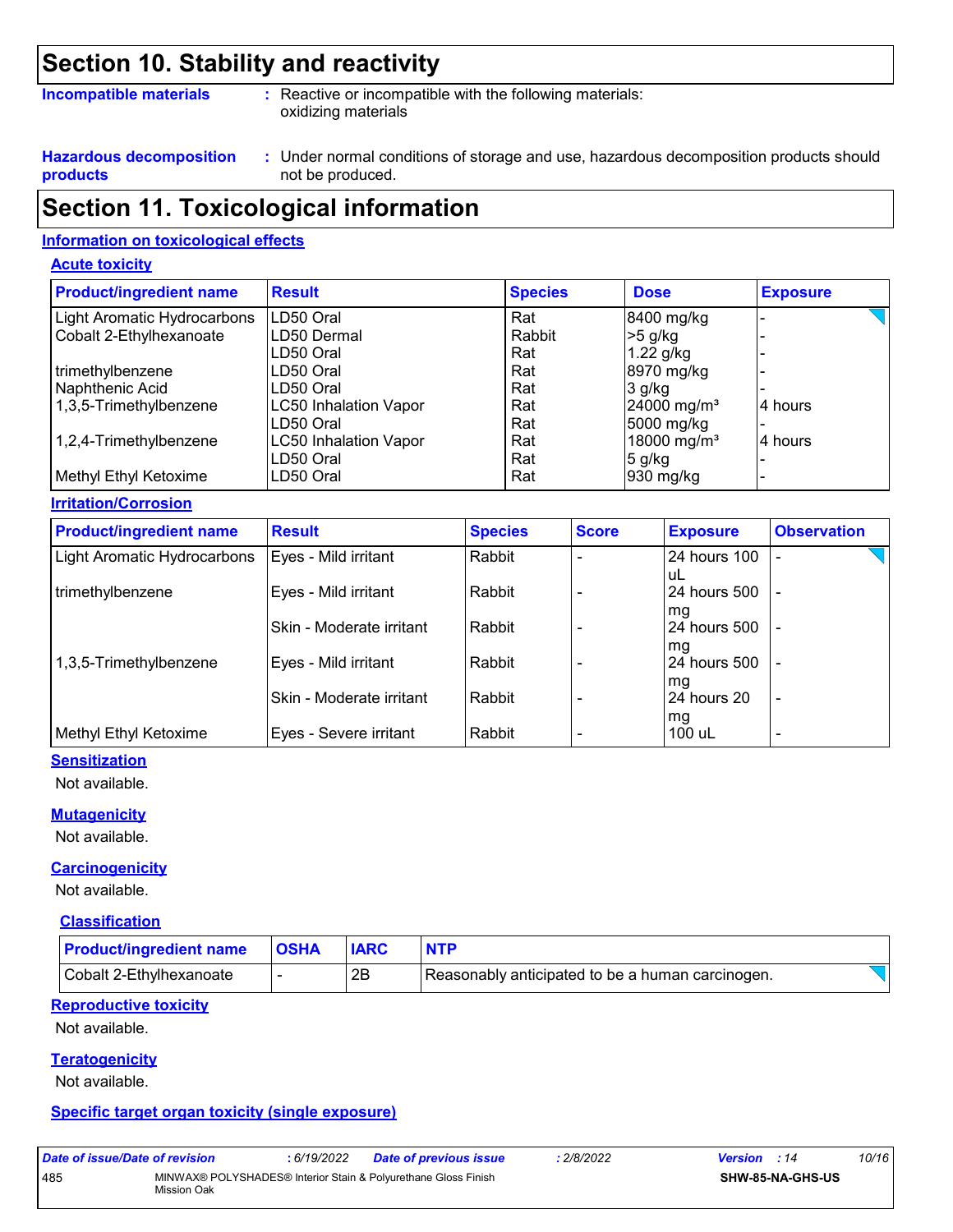### **Section 10. Stability and reactivity**

#### **Incompatible materials :**

: Reactive or incompatible with the following materials: oxidizing materials

**Hazardous decomposition products**

Under normal conditions of storage and use, hazardous decomposition products should **:** not be produced.

### **Section 11. Toxicological information**

#### **Information on toxicological effects**

#### **Acute toxicity**

| <b>Product/ingredient name</b> | <b>Result</b>                | <b>Species</b> | <b>Dose</b>               | <b>Exposure</b> |
|--------------------------------|------------------------------|----------------|---------------------------|-----------------|
| Light Aromatic Hydrocarbons    | LD50 Oral                    | Rat            | 8400 mg/kg                |                 |
| Cobalt 2-Ethylhexanoate        | ILD50 Dermal                 | Rabbit         | $>5$ g/kg                 |                 |
|                                | LD50 Oral                    | Rat            | 1.22 g/kg                 |                 |
| trimethylbenzene               | LD50 Oral                    | Rat            | 8970 mg/kg                |                 |
| Naphthenic Acid                | LD50 Oral                    | Rat            | $3$ g/kg                  |                 |
| 1,3,5-Trimethylbenzene         | LC50 Inhalation Vapor        | Rat            | $24000$ mg/m <sup>3</sup> | 4 hours         |
|                                | LD50 Oral                    | Rat            | 5000 mg/kg                |                 |
| 1,2,4-Trimethylbenzene         | <b>LC50 Inhalation Vapor</b> | Rat            | 18000 mg/m <sup>3</sup>   | 4 hours         |
|                                | LD50 Oral                    | Rat            | $5$ g/kg                  |                 |
| Methyl Ethyl Ketoxime          | LD50 Oral                    | Rat            | $930$ mg/kg               |                 |

#### **Irritation/Corrosion**

| <b>Product/ingredient name</b> | <b>Result</b>            | <b>Species</b> | <b>Score</b> | <b>Exposure</b>    | <b>Observation</b>       |
|--------------------------------|--------------------------|----------------|--------------|--------------------|--------------------------|
| Light Aromatic Hydrocarbons    | Eyes - Mild irritant     | Rabbit         |              | 24 hours 100       |                          |
| trimethylbenzene               | Eyes - Mild irritant     | Rabbit         |              | uL<br>24 hours 500 |                          |
|                                | Skin - Moderate irritant | l Rabbit       |              | mg<br>24 hours 500 |                          |
| 1,3,5-Trimethylbenzene         | Eyes - Mild irritant     | Rabbit         |              | mg<br>24 hours 500 | ٠                        |
|                                | Skin - Moderate irritant | Rabbit         |              | mg<br>24 hours 20  | $\blacksquare$           |
| Methyl Ethyl Ketoxime          | Eyes - Severe irritant   | Rabbit         |              | mg<br>100 uL       | $\overline{\phantom{0}}$ |

#### **Sensitization**

Not available.

#### **Mutagenicity**

Not available.

#### **Carcinogenicity**

Not available.

#### **Classification**

| <b>Product/ingredient name OSHA</b> |    | <b>NTP</b>                                       |  |
|-------------------------------------|----|--------------------------------------------------|--|
| Cobalt 2-Ethylhexanoate             | 2Β | Reasonably anticipated to be a human carcinogen. |  |

#### **Reproductive toxicity**

Not available.

#### **Teratogenicity**

Not available.

#### **Specific target organ toxicity (single exposure)**

| Date of issue/Date of revision |                                                                               | : 6/19/2022 | Date of previous issue | 2/8/2022 | <b>Version</b> : 14 |                  | 10/16 |
|--------------------------------|-------------------------------------------------------------------------------|-------------|------------------------|----------|---------------------|------------------|-------|
| 485                            | MINWAX® POLYSHADES® Interior Stain & Polyurethane Gloss Finish<br>Mission Oak |             |                        |          |                     | SHW-85-NA-GHS-US |       |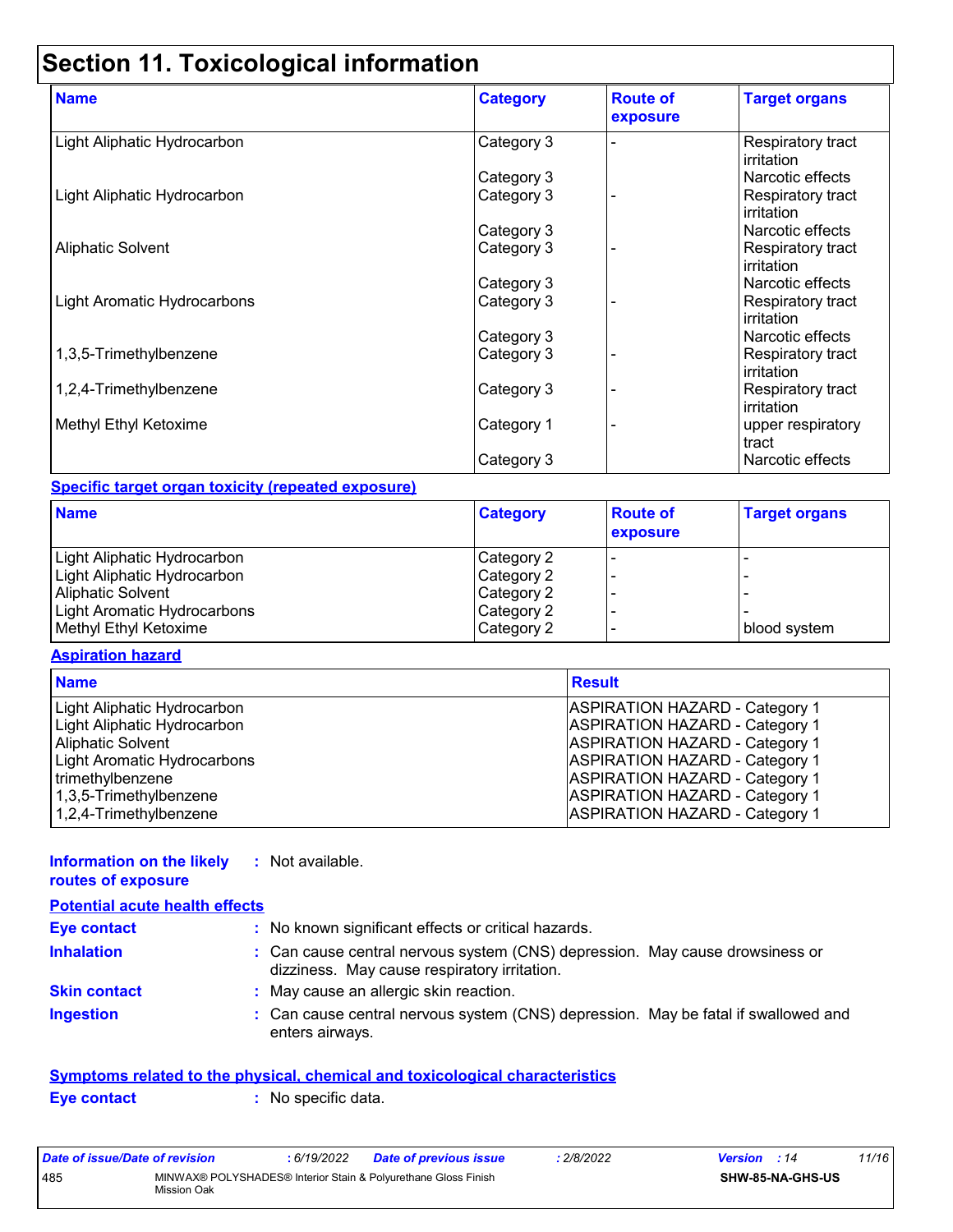### **Section 11. Toxicological information**

| <b>Name</b>                 | <b>Category</b> | <b>Route of</b><br>exposure | <b>Target organs</b>                          |
|-----------------------------|-----------------|-----------------------------|-----------------------------------------------|
| Light Aliphatic Hydrocarbon | Category 3      |                             | <b>Respiratory tract</b><br>irritation        |
|                             | Category 3      |                             | Narcotic effects                              |
| Light Aliphatic Hydrocarbon | Category 3      |                             | Respiratory tract<br>irritation               |
|                             | Category 3      |                             | Narcotic effects                              |
| <b>Aliphatic Solvent</b>    | Category 3      |                             | Respiratory tract<br>irritation               |
|                             | Category 3      |                             | Narcotic effects                              |
| Light Aromatic Hydrocarbons | Category 3      |                             | <b>Respiratory tract</b><br>irritation        |
|                             | Category 3      |                             | Narcotic effects                              |
| 1,3,5-Trimethylbenzene      | Category 3      |                             | <b>Respiratory tract</b><br><b>irritation</b> |
| 1,2,4-Trimethylbenzene      | Category 3      |                             | Respiratory tract<br>l irritation.            |
| Methyl Ethyl Ketoxime       | Category 1      |                             | upper respiratory<br>tract                    |
|                             | Category 3      |                             | Narcotic effects                              |

#### **Specific target organ toxicity (repeated exposure)**

| <b>Name</b>                 | <b>Category</b> | <b>Route of</b><br>exposure | <b>Target organs</b> |
|-----------------------------|-----------------|-----------------------------|----------------------|
| Light Aliphatic Hydrocarbon | Category 2      |                             |                      |
| Light Aliphatic Hydrocarbon | Category 2      |                             |                      |
| <b>Aliphatic Solvent</b>    | Category 2      |                             |                      |
| Light Aromatic Hydrocarbons | Category 2      |                             |                      |
| Methyl Ethyl Ketoxime       | Category 2      |                             | blood system         |

#### **Aspiration hazard**

| <b>Name</b>                 | <b>Result</b>                         |
|-----------------------------|---------------------------------------|
| Light Aliphatic Hydrocarbon | <b>ASPIRATION HAZARD - Category 1</b> |
| Light Aliphatic Hydrocarbon | <b>ASPIRATION HAZARD - Category 1</b> |
| <b>Aliphatic Solvent</b>    | <b>ASPIRATION HAZARD - Category 1</b> |
| Light Aromatic Hydrocarbons | <b>ASPIRATION HAZARD - Category 1</b> |
| trimethylbenzene            | <b>ASPIRATION HAZARD - Category 1</b> |
| 1,3,5-Trimethylbenzene      | <b>ASPIRATION HAZARD - Category 1</b> |
| 1,2,4-Trimethylbenzene      | <b>ASPIRATION HAZARD - Category 1</b> |

#### **Information on the likely :** Not available.

#### **routes of exposure Inhalation :** Can cause central nervous system (CNS) depression. May cause drowsiness or dizziness. May cause respiratory irritation. Can cause central nervous system (CNS) depression. May be fatal if swallowed and enters airways. **Ingestion : Skin contact :** May cause an allergic skin reaction. **Eye contact :** No known significant effects or critical hazards. **Potential acute health effects**

|             | Symptoms related to the physical, chemical and toxicological characteristics |  |
|-------------|------------------------------------------------------------------------------|--|
| Eye contact | : No specific data.                                                          |  |

| Date of issue/Date of revision |                                                                               | : 6/19/2022 | <b>Date of previous issue</b> | : 2/8/2022 | <b>Version</b> : 14 |                         | 11/16 |
|--------------------------------|-------------------------------------------------------------------------------|-------------|-------------------------------|------------|---------------------|-------------------------|-------|
| 485                            | MINWAX® POLYSHADES® Interior Stain & Polyurethane Gloss Finish<br>Mission Oak |             |                               |            |                     | <b>SHW-85-NA-GHS-US</b> |       |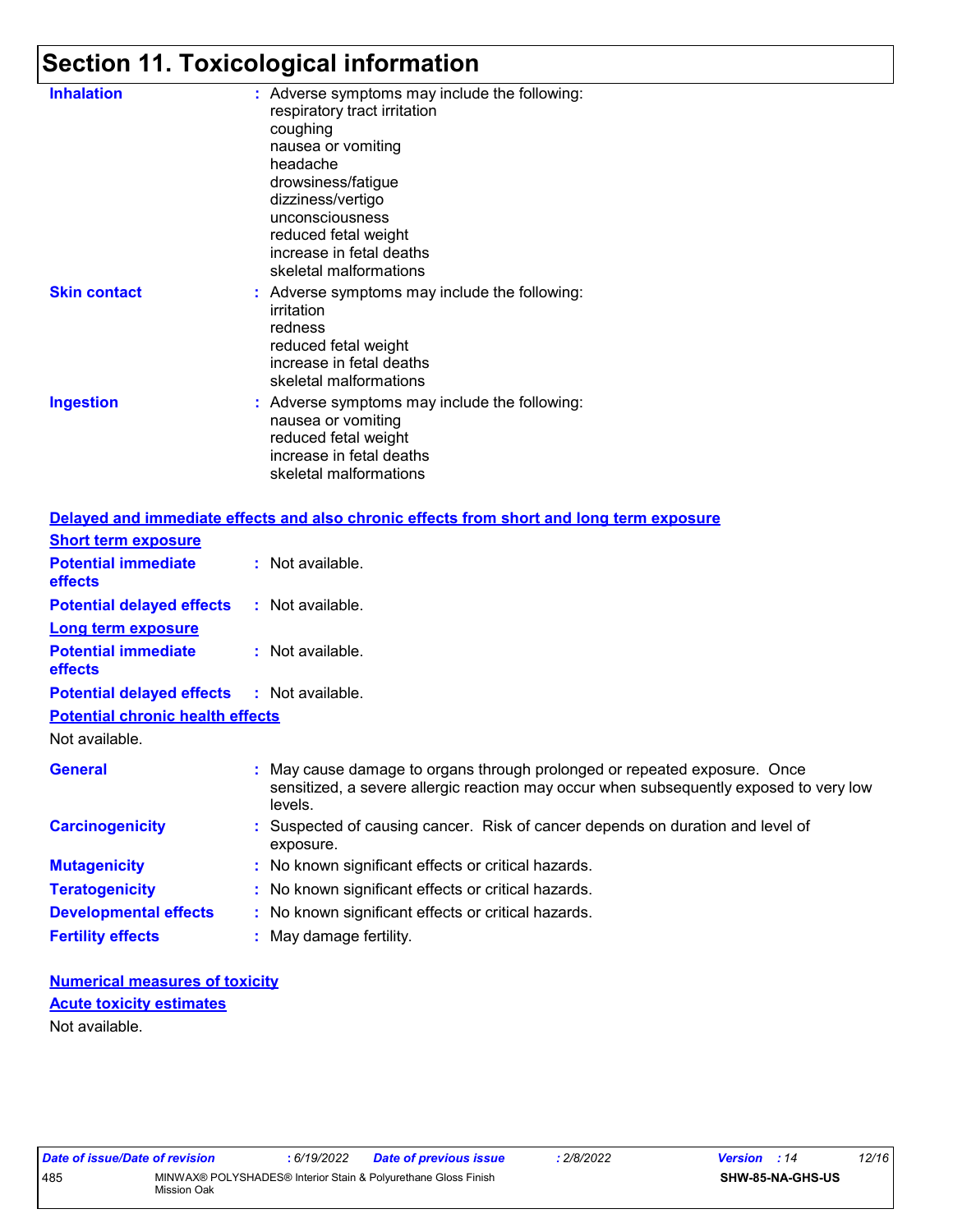# **Section 11. Toxicological information**

| <b>Inhalation</b>   | : Adverse symptoms may include the following:<br>respiratory tract irritation<br>coughing<br>nausea or vomiting<br>headache<br>drowsiness/fatigue<br>dizziness/vertigo<br>unconsciousness<br>reduced fetal weight<br>increase in fetal deaths<br>skeletal malformations |
|---------------------|-------------------------------------------------------------------------------------------------------------------------------------------------------------------------------------------------------------------------------------------------------------------------|
| <b>Skin contact</b> | : Adverse symptoms may include the following:<br>irritation<br>redness<br>reduced fetal weight<br>increase in fetal deaths<br>skeletal malformations                                                                                                                    |
| <b>Ingestion</b>    | : Adverse symptoms may include the following:<br>nausea or vomiting<br>reduced fetal weight<br>increase in fetal deaths<br>skeletal malformations                                                                                                                       |

|                                              | Delayed and immediate effects and also chronic effects from short and long term exposure                                                                                       |
|----------------------------------------------|--------------------------------------------------------------------------------------------------------------------------------------------------------------------------------|
| <b>Short term exposure</b>                   |                                                                                                                                                                                |
| <b>Potential immediate</b><br><b>effects</b> | : Not available.                                                                                                                                                               |
| <b>Potential delayed effects</b>             | : Not available.                                                                                                                                                               |
| <b>Long term exposure</b>                    |                                                                                                                                                                                |
| <b>Potential immediate</b><br><b>effects</b> | : Not available.                                                                                                                                                               |
| <b>Potential delayed effects</b>             | : Not available.                                                                                                                                                               |
| <b>Potential chronic health effects</b>      |                                                                                                                                                                                |
| Not available.                               |                                                                                                                                                                                |
| <b>General</b>                               | : May cause damage to organs through prolonged or repeated exposure. Once<br>sensitized, a severe allergic reaction may occur when subsequently exposed to very low<br>levels. |
| <b>Carcinogenicity</b>                       | : Suspected of causing cancer. Risk of cancer depends on duration and level of<br>exposure.                                                                                    |
| <b>Mutagenicity</b>                          | : No known significant effects or critical hazards.                                                                                                                            |
| <b>Teratogenicity</b>                        | : No known significant effects or critical hazards.                                                                                                                            |
| <b>Developmental effects</b>                 | : No known significant effects or critical hazards.                                                                                                                            |
| <b>Fertility effects</b>                     | : May damage fertility.                                                                                                                                                        |

**Numerical measures of toxicity** Not available. **Acute toxicity estimates**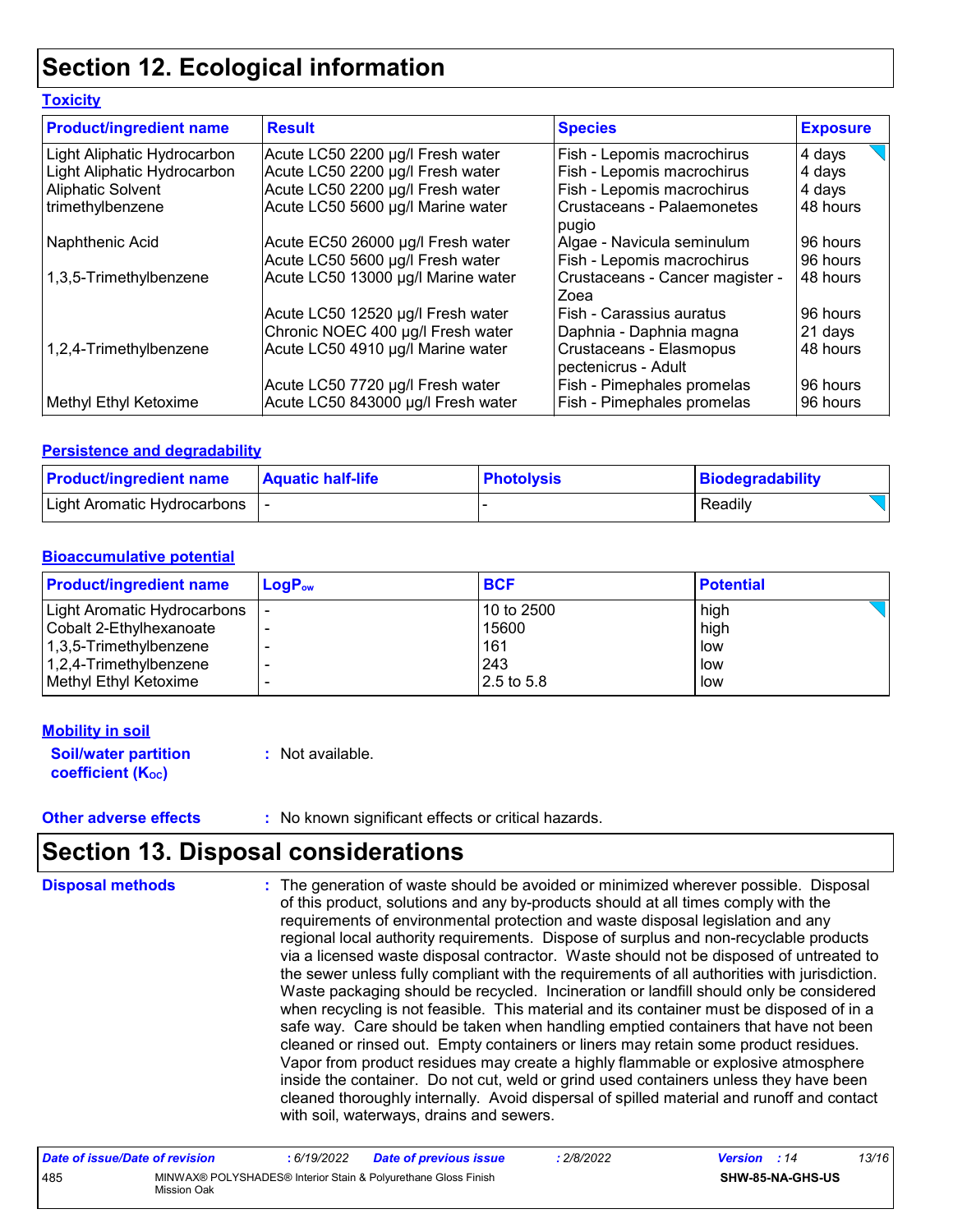### **Section 12. Ecological information**

#### **Toxicity**

| <b>Product/ingredient name</b> | <b>Result</b>                      | <b>Species</b>                                 | <b>Exposure</b> |
|--------------------------------|------------------------------------|------------------------------------------------|-----------------|
| Light Aliphatic Hydrocarbon    | Acute LC50 2200 µg/l Fresh water   | Fish - Lepomis macrochirus                     | 4 days          |
| Light Aliphatic Hydrocarbon    | Acute LC50 2200 µg/l Fresh water   | Fish - Lepomis macrochirus                     | 4 days          |
| <b>Aliphatic Solvent</b>       | Acute LC50 2200 µg/l Fresh water   | Fish - Lepomis macrochirus                     | 4 days          |
| trimethylbenzene               | Acute LC50 5600 µg/l Marine water  | <b>Crustaceans - Palaemonetes</b><br>pugio     | 48 hours        |
| Naphthenic Acid                | Acute EC50 26000 µg/l Fresh water  | Algae - Navicula seminulum                     | 96 hours        |
|                                | Acute LC50 5600 µg/l Fresh water   | Fish - Lepomis macrochirus                     | 96 hours        |
| 1,3,5-Trimethylbenzene         | Acute LC50 13000 µg/l Marine water | Crustaceans - Cancer magister -<br>Zoea        | 48 hours        |
|                                | Acute LC50 12520 µg/l Fresh water  | Fish - Carassius auratus                       | 96 hours        |
|                                | Chronic NOEC 400 µg/l Fresh water  | Daphnia - Daphnia magna                        | 21 days         |
| 1,2,4-Trimethylbenzene         | Acute LC50 4910 µg/l Marine water  | Crustaceans - Elasmopus<br>pectenicrus - Adult | 48 hours        |
|                                | Acute LC50 7720 µg/l Fresh water   | Fish - Pimephales promelas                     | 96 hours        |
| Methyl Ethyl Ketoxime          | Acute LC50 843000 µg/l Fresh water | Fish - Pimephales promelas                     | 96 hours        |

#### **Persistence and degradability**

| <b>Product/ingredient name</b> | <b>Aquatic half-life</b> | <b>Photolysis</b> | Biodegradability |
|--------------------------------|--------------------------|-------------------|------------------|
| Light Aromatic Hydrocarbons    |                          |                   | Readily          |

#### **Bioaccumulative potential**

| <b>Product/ingredient name</b> | $LoaPow$ | <b>BCF</b>    | <b>Potential</b> |
|--------------------------------|----------|---------------|------------------|
| Light Aromatic Hydrocarbons    |          | 10 to 2500    | high             |
| Cobalt 2-Ethylhexanoate        |          | 15600         | high             |
| 1,3,5-Trimethylbenzene         |          | 161           | low              |
| 1,2,4-Trimethylbenzene         | -        | 243           | low              |
| Methyl Ethyl Ketoxime          |          | $12.5$ to 5.8 | low              |

#### **Mobility in soil**

| <b>Soil/water partition</b> | : Not available. |
|-----------------------------|------------------|
| <b>coefficient (Koc)</b>    |                  |

**Other adverse effects** : No known significant effects or critical hazards.

### **Section 13. Disposal considerations**

The generation of waste should be avoided or minimized wherever possible. Disposal of this product, solutions and any by-products should at all times comply with the requirements of environmental protection and waste disposal legislation and any regional local authority requirements. Dispose of surplus and non-recyclable products via a licensed waste disposal contractor. Waste should not be disposed of untreated to the sewer unless fully compliant with the requirements of all authorities with jurisdiction. Waste packaging should be recycled. Incineration or landfill should only be considered when recycling is not feasible. This material and its container must be disposed of in a safe way. Care should be taken when handling emptied containers that have not been cleaned or rinsed out. Empty containers or liners may retain some product residues. Vapor from product residues may create a highly flammable or explosive atmosphere inside the container. Do not cut, weld or grind used containers unless they have been cleaned thoroughly internally. Avoid dispersal of spilled material and runoff and contact with soil, waterways, drains and sewers. **Disposal methods :**

| Date of issue/Date of revision |                                                                               | 6/19/2022 | Date of previous issue | 2/8/2022 | <b>Version</b> : 14 |                         | 13/16 |
|--------------------------------|-------------------------------------------------------------------------------|-----------|------------------------|----------|---------------------|-------------------------|-------|
| 485                            | MINWAX® POLYSHADES® Interior Stain & Polyurethane Gloss Finish<br>Mission Oak |           |                        |          |                     | <b>SHW-85-NA-GHS-US</b> |       |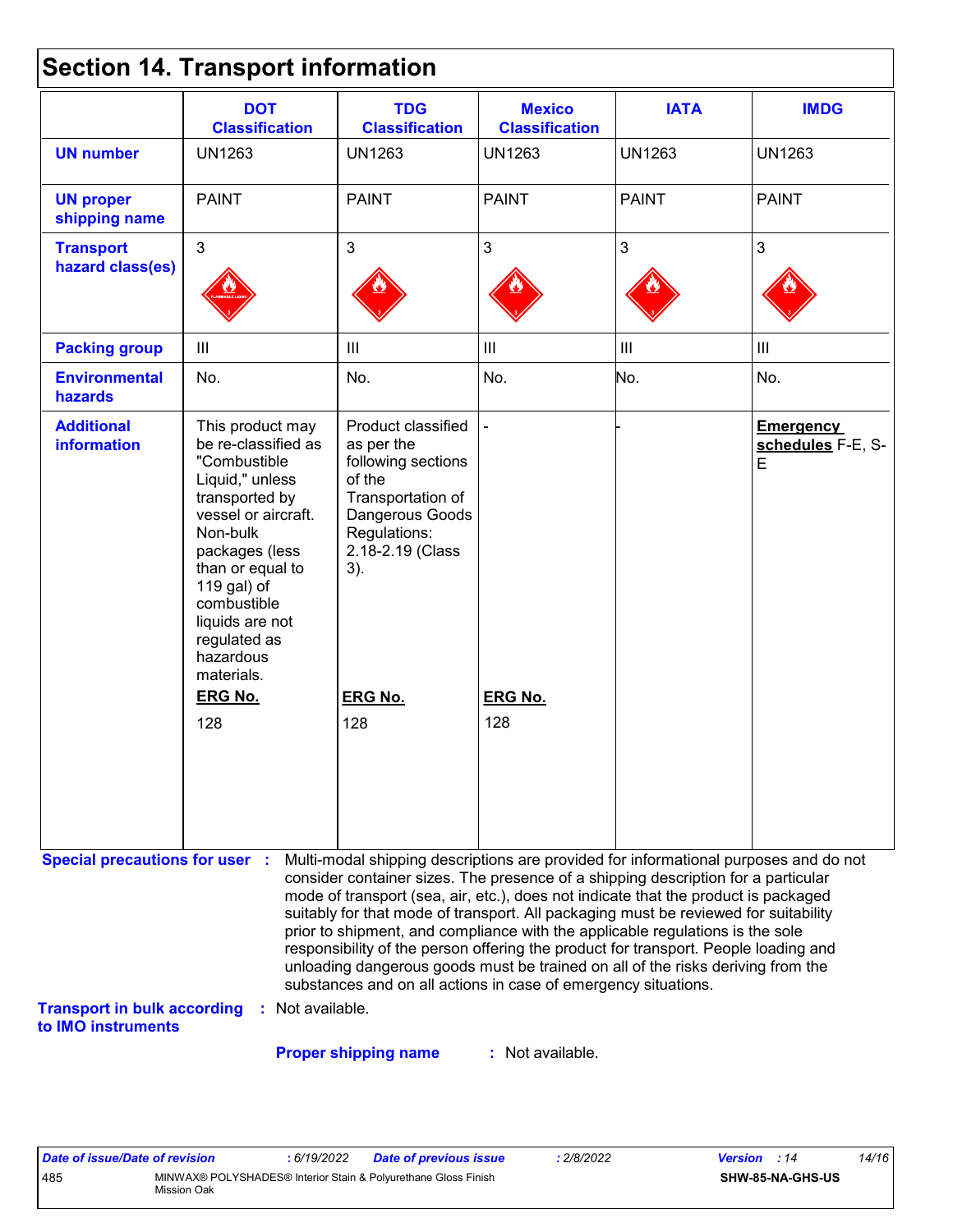|  | <b>Section 14. Transport information</b> |  |
|--|------------------------------------------|--|
|--|------------------------------------------|--|

|                                                                                                   | <b>DOT</b><br><b>Classification</b>                                                                                                                                                                                                                               | <b>TDG</b><br><b>Classification</b>                                                                                                                                                                                                                                                                                                                                                                                                                                                                                                                                                                                                                                                 | <b>Mexico</b><br><b>Classification</b> | <b>IATA</b>    | <b>IMDG</b>                                |
|---------------------------------------------------------------------------------------------------|-------------------------------------------------------------------------------------------------------------------------------------------------------------------------------------------------------------------------------------------------------------------|-------------------------------------------------------------------------------------------------------------------------------------------------------------------------------------------------------------------------------------------------------------------------------------------------------------------------------------------------------------------------------------------------------------------------------------------------------------------------------------------------------------------------------------------------------------------------------------------------------------------------------------------------------------------------------------|----------------------------------------|----------------|--------------------------------------------|
| <b>UN number</b>                                                                                  | <b>UN1263</b>                                                                                                                                                                                                                                                     | <b>UN1263</b>                                                                                                                                                                                                                                                                                                                                                                                                                                                                                                                                                                                                                                                                       | <b>UN1263</b>                          | <b>UN1263</b>  | <b>UN1263</b>                              |
| <b>UN proper</b><br>shipping name                                                                 | <b>PAINT</b>                                                                                                                                                                                                                                                      | <b>PAINT</b>                                                                                                                                                                                                                                                                                                                                                                                                                                                                                                                                                                                                                                                                        | <b>PAINT</b>                           | <b>PAINT</b>   | <b>PAINT</b>                               |
| <b>Transport</b><br>hazard class(es)                                                              | $\overline{3}$                                                                                                                                                                                                                                                    | $\mathbf{3}$                                                                                                                                                                                                                                                                                                                                                                                                                                                                                                                                                                                                                                                                        | $\mathfrak{S}$                         | 3              | 3                                          |
| <b>Packing group</b>                                                                              | $\mathbf{III}$                                                                                                                                                                                                                                                    | $\begin{array}{c} \hline \end{array}$                                                                                                                                                                                                                                                                                                                                                                                                                                                                                                                                                                                                                                               | $\mathop{\rm III}$                     | $\mathbf{III}$ | $\mathbf{III}$                             |
| <b>Environmental</b><br>hazards                                                                   | No.                                                                                                                                                                                                                                                               | No.                                                                                                                                                                                                                                                                                                                                                                                                                                                                                                                                                                                                                                                                                 | No.                                    | No.            | No.                                        |
| <b>Additional</b><br><b>information</b>                                                           | This product may<br>be re-classified as<br>"Combustible<br>Liquid," unless<br>transported by<br>vessel or aircraft.<br>Non-bulk<br>packages (less<br>than or equal to<br>119 gal) of<br>combustible<br>liquids are not<br>regulated as<br>hazardous<br>materials. | Product classified<br>as per the<br>following sections<br>of the<br>Transportation of<br>Dangerous Goods<br>Regulations:<br>2.18-2.19 (Class<br>3).                                                                                                                                                                                                                                                                                                                                                                                                                                                                                                                                 |                                        |                | <b>Emergency</b><br>schedules F-E, S-<br>E |
|                                                                                                   | <b>ERG No.</b>                                                                                                                                                                                                                                                    | <b>ERG No.</b>                                                                                                                                                                                                                                                                                                                                                                                                                                                                                                                                                                                                                                                                      | <b>ERG No.</b>                         |                |                                            |
|                                                                                                   | 128                                                                                                                                                                                                                                                               | 128                                                                                                                                                                                                                                                                                                                                                                                                                                                                                                                                                                                                                                                                                 | 128                                    |                |                                            |
| <b>Special precautions for user :</b><br><b>Transport in bulk according</b><br>to IMO instruments | : Not available.                                                                                                                                                                                                                                                  | Multi-modal shipping descriptions are provided for informational purposes and do not<br>consider container sizes. The presence of a shipping description for a particular<br>mode of transport (sea, air, etc.), does not indicate that the product is packaged<br>suitably for that mode of transport. All packaging must be reviewed for suitability<br>prior to shipment, and compliance with the applicable regulations is the sole<br>responsibility of the person offering the product for transport. People loading and<br>unloading dangerous goods must be trained on all of the risks deriving from the<br>substances and on all actions in case of emergency situations. |                                        |                |                                            |

**Proper shipping name :**

: Not available.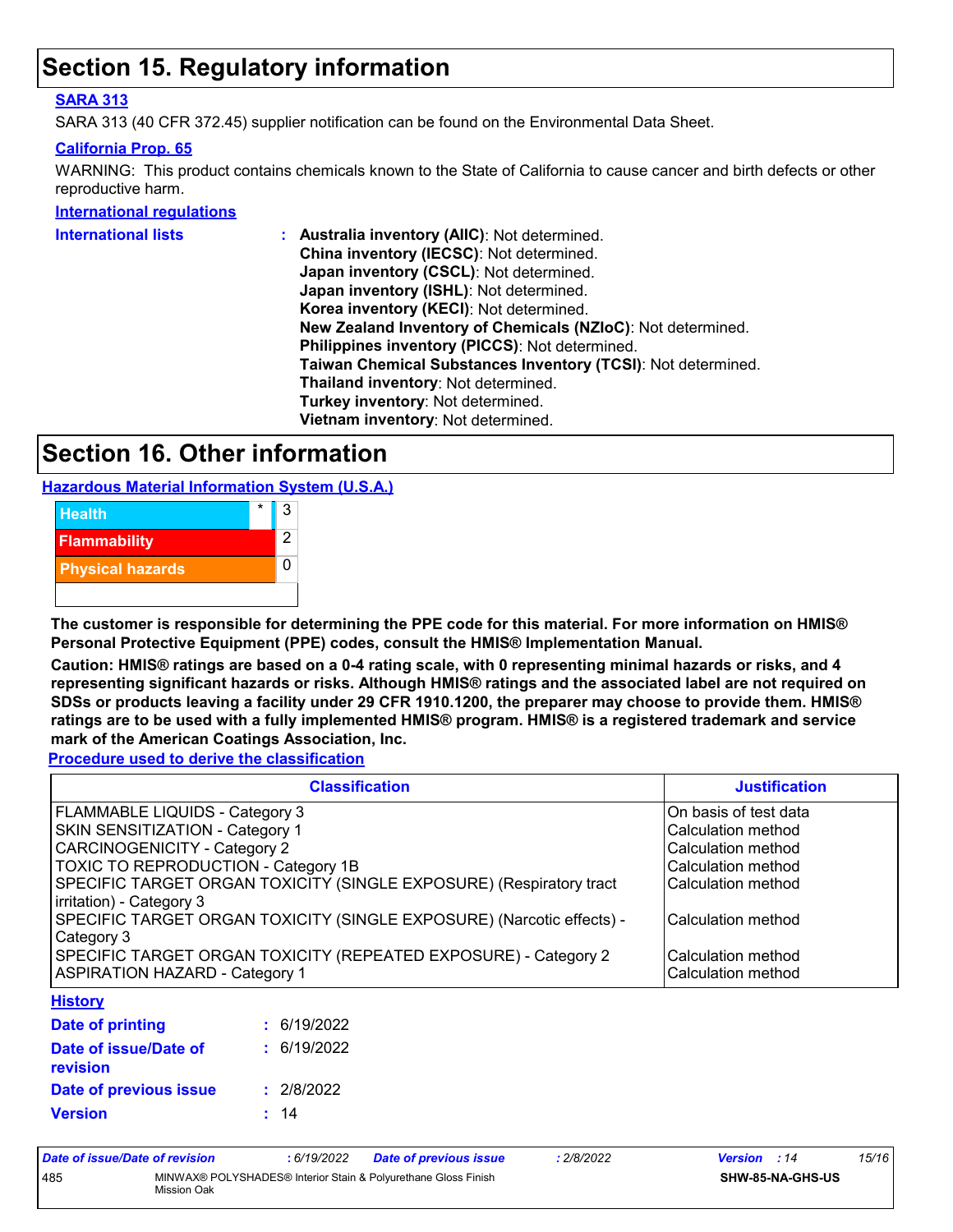### **Section 15. Regulatory information**

#### **SARA 313**

SARA 313 (40 CFR 372.45) supplier notification can be found on the Environmental Data Sheet.

#### **California Prop. 65**

WARNING: This product contains chemicals known to the State of California to cause cancer and birth defects or other reproductive harm.

**International regulations**

| <b>International lists</b> | Australia inventory (AIIC): Not determined.                  |
|----------------------------|--------------------------------------------------------------|
|                            | China inventory (IECSC): Not determined.                     |
|                            | Japan inventory (CSCL): Not determined.                      |
|                            | Japan inventory (ISHL): Not determined.                      |
|                            | Korea inventory (KECI): Not determined.                      |
|                            | New Zealand Inventory of Chemicals (NZIoC): Not determined.  |
|                            | Philippines inventory (PICCS): Not determined.               |
|                            | Taiwan Chemical Substances Inventory (TCSI): Not determined. |
|                            | Thailand inventory: Not determined.                          |
|                            | Turkey inventory: Not determined.                            |
|                            | Vietnam inventory: Not determined.                           |
|                            |                                                              |

### **Section 16. Other information**

**Hazardous Material Information System (U.S.A.)**



**The customer is responsible for determining the PPE code for this material. For more information on HMIS® Personal Protective Equipment (PPE) codes, consult the HMIS® Implementation Manual.**

**Caution: HMIS® ratings are based on a 0-4 rating scale, with 0 representing minimal hazards or risks, and 4 representing significant hazards or risks. Although HMIS® ratings and the associated label are not required on SDSs or products leaving a facility under 29 CFR 1910.1200, the preparer may choose to provide them. HMIS® ratings are to be used with a fully implemented HMIS® program. HMIS® is a registered trademark and service mark of the American Coatings Association, Inc.**

**Procedure used to derive the classification**

| <b>Classification</b>                                                                           | <b>Justification</b>  |
|-------------------------------------------------------------------------------------------------|-----------------------|
| FLAMMABLE LIQUIDS - Category 3                                                                  | On basis of test data |
| <b>SKIN SENSITIZATION - Category 1</b>                                                          | Calculation method    |
| CARCINOGENICITY - Category 2                                                                    | Calculation method    |
| TOXIC TO REPRODUCTION - Category 1B                                                             | Calculation method    |
| SPECIFIC TARGET ORGAN TOXICITY (SINGLE EXPOSURE) (Respiratory tract<br>irritation) - Category 3 | Calculation method    |
| SPECIFIC TARGET ORGAN TOXICITY (SINGLE EXPOSURE) (Narcotic effects) -<br>Category 3             | lCalculation method   |
| SPECIFIC TARGET ORGAN TOXICITY (REPEATED EXPOSURE) - Category 2                                 | Calculation method    |
| <b>ASPIRATION HAZARD - Category 1</b>                                                           | Calculation method    |
| Hietory                                                                                         |                       |

#### **History**

| Date of printing                  | : 6/19/2022 |
|-----------------------------------|-------------|
| Date of issue/Date of<br>revision | : 6/19/2022 |
| Date of previous issue            | : 2/8/2022  |
| <b>Version</b>                    | : 14        |